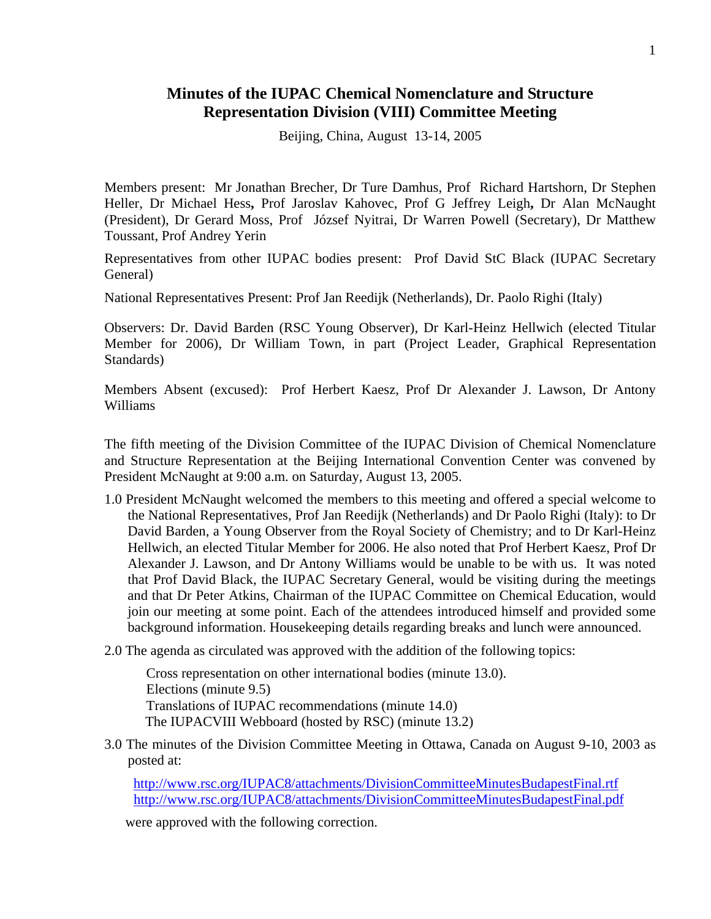# **Minutes of the IUPAC Chemical Nomenclature and Structure Representation Division (VIII) Committee Meeting**

Beijing, China, August 13-14, 2005

Members present: Mr Jonathan Brecher, Dr Ture Damhus, Prof Richard Hartshorn, Dr Stephen Heller, Dr Michael Hess**,** Prof Jaroslav Kahovec, Prof G Jeffrey Leigh**,** Dr Alan McNaught (President), Dr Gerard Moss, Prof József Nyitrai, Dr Warren Powell (Secretary), Dr Matthew Toussant, Prof Andrey Yerin

Representatives from other IUPAC bodies present: Prof David StC Black (IUPAC Secretary General)

National Representatives Present: Prof Jan Reedijk (Netherlands), Dr. Paolo Righi (Italy)

Observers: Dr. David Barden (RSC Young Observer), Dr Karl-Heinz Hellwich (elected Titular Member for 2006), Dr William Town, in part (Project Leader, Graphical Representation Standards)

Members Absent (excused): Prof Herbert Kaesz, Prof Dr Alexander J. Lawson, Dr Antony Williams

The fifth meeting of the Division Committee of the IUPAC Division of Chemical Nomenclature and Structure Representation at the Beijing International Convention Center was convened by President McNaught at 9:00 a.m. on Saturday, August 13, 2005.

- 1.0 President McNaught welcomed the members to this meeting and offered a special welcome to the National Representatives, Prof Jan Reedijk (Netherlands) and Dr Paolo Righi (Italy): to Dr David Barden, a Young Observer from the Royal Society of Chemistry; and to Dr Karl-Heinz Hellwich, an elected Titular Member for 2006. He also noted that Prof Herbert Kaesz, Prof Dr Alexander J. Lawson, and Dr Antony Williams would be unable to be with us. It was noted that Prof David Black, the IUPAC Secretary General, would be visiting during the meetings and that Dr Peter Atkins, Chairman of the IUPAC Committee on Chemical Education, would join our meeting at some point. Each of the attendees introduced himself and provided some background information. Housekeeping details regarding breaks and lunch were announced.
- 2.0 The agenda as circulated was approved with the addition of the following topics:

 Cross representation on other international bodies (minute 13.0). Elections (minute 9.5) Translations of IUPAC recommendations (minute 14.0) The IUPACVIII Webboard (hosted by RSC) (minute 13.2)

3.0 The minutes of the Division Committee Meeting in Ottawa, Canada on August 9-10, 2003 as posted at:

http://www.rsc.org/IUPAC8/attachments/DivisionCommitteeMinutesBudapestFinal.rtf http://www.rsc.org/IUPAC8/attachments/DivisionCommitteeMinutesBudapestFinal.pdf

were approved with the following correction.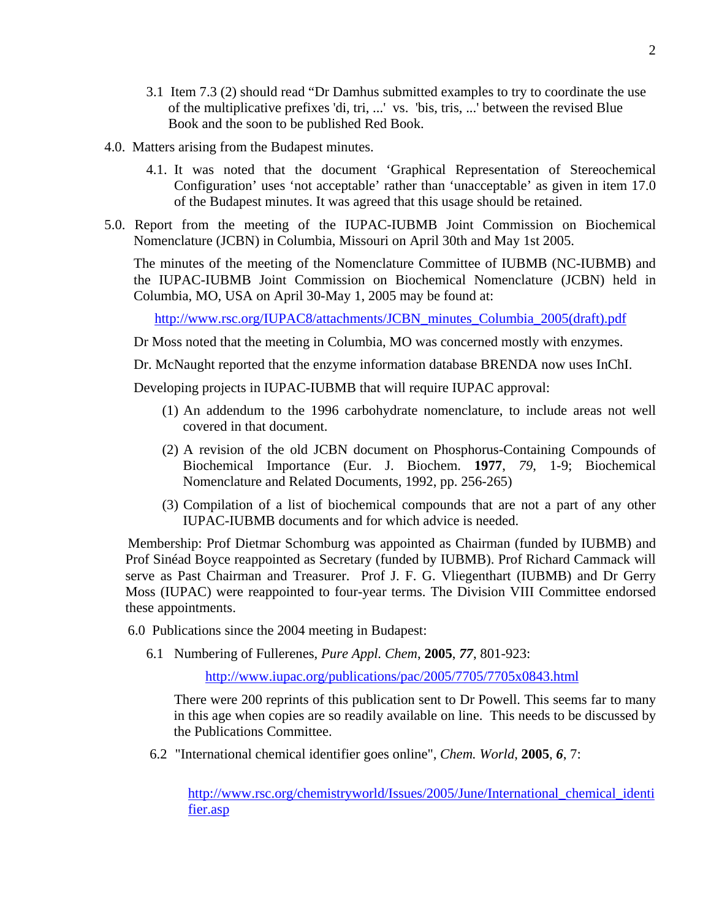- 3.1 Item 7.3 (2) should read "Dr Damhus submitted examples to try to coordinate the use of the multiplicative prefixes 'di, tri, ...' vs. 'bis, tris, ...' between the revised Blue Book and the soon to be published Red Book.
- 4.0. Matters arising from the Budapest minutes.
	- 4.1. It was noted that the document 'Graphical Representation of Stereochemical Configuration' uses 'not acceptable' rather than 'unacceptable' as given in item 17.0 of the Budapest minutes. It was agreed that this usage should be retained.
- 5.0. Report from the meeting of the IUPAC-IUBMB Joint Commission on Biochemical Nomenclature (JCBN) in Columbia, Missouri on April 30th and May 1st 2005.

The minutes of the meeting of the Nomenclature Committee of IUBMB (NC-IUBMB) and the IUPAC-IUBMB Joint Commission on Biochemical Nomenclature (JCBN) held in Columbia, MO, USA on April 30-May 1, 2005 may be found at:

http://www.rsc.org/IUPAC8/attachments/JCBN\_minutes\_Columbia\_2005(draft).pdf

Dr Moss noted that the meeting in Columbia, MO was concerned mostly with enzymes.

Dr. McNaught reported that the enzyme information database BRENDA now uses InChI.

Developing projects in IUPAC-IUBMB that will require IUPAC approval:

- (1) An addendum to the 1996 carbohydrate nomenclature, to include areas not well covered in that document.
- (2) A revision of the old JCBN document on Phosphorus-Containing Compounds of Biochemical Importance (Eur. J. Biochem. **1977**, *79*, 1-9; Biochemical Nomenclature and Related Documents, 1992, pp. 256-265)
- (3) Compilation of a list of biochemical compounds that are not a part of any other IUPAC-IUBMB documents and for which advice is needed.

Membership: Prof Dietmar Schomburg was appointed as Chairman (funded by IUBMB) and Prof Sinéad Boyce reappointed as Secretary (funded by IUBMB). Prof Richard Cammack will serve as Past Chairman and Treasurer. Prof J. F. G. Vliegenthart (IUBMB) and Dr Gerry Moss (IUPAC) were reappointed to four-year terms. The Division VIII Committee endorsed these appointments.

6.0 Publications since the 2004 meeting in Budapest:

6.1Numbering of Fullerenes, *Pure Appl. Chem*, **2005**, *77*, 801-923:

http://www.iupac.org/publications/pac/2005/7705/7705x0843.html

 There were 200 reprints of this publication sent to Dr Powell. This seems far to many in this age when copies are so readily available on line. This needs to be discussed by the Publications Committee.

6.2 "International chemical identifier goes online", *Chem. World*, **2005**, *6*, 7:

http://www.rsc.org/chemistryworld/Issues/2005/June/International\_chemical\_identi fier.asp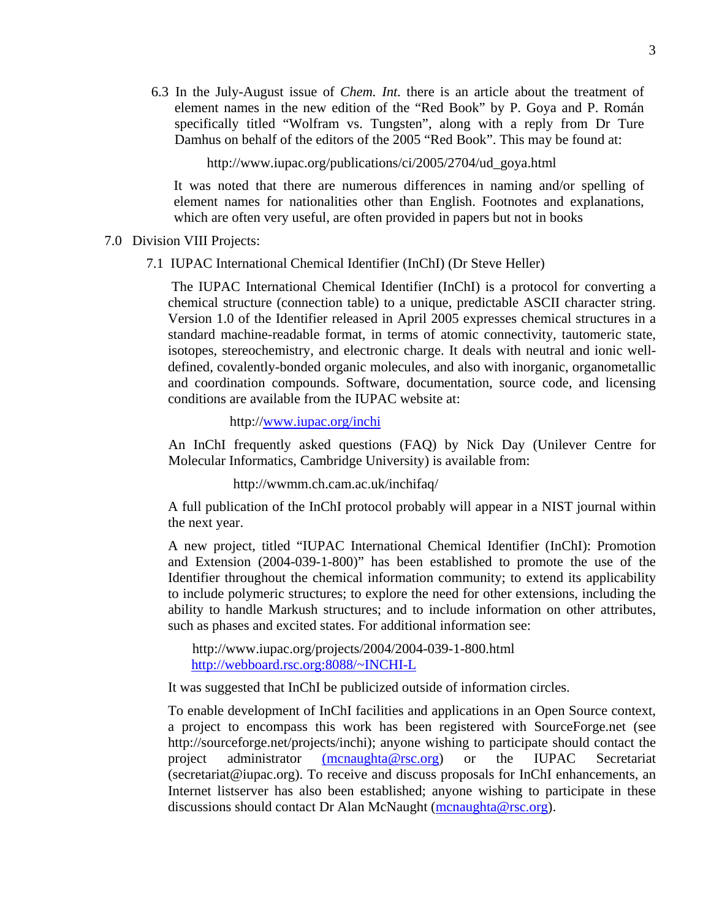6.3 In the July-August issue of *Chem. Int.* there is an article about the treatment of element names in the new edition of the "Red Book" by P. Goya and P. Román specifically titled "Wolfram vs. Tungsten", along with a reply from Dr Ture Damhus on behalf of the editors of the 2005 "Red Book". This may be found at:

http://www.iupac.org/publications/ci/2005/2704/ud\_goya.html

It was noted that there are numerous differences in naming and/or spelling of element names for nationalities other than English. Footnotes and explanations, which are often very useful, are often provided in papers but not in books

## 7.0 Division VIII Projects:

7.1 IUPAC International Chemical Identifier (InChI) (Dr Steve Heller)

 The IUPAC International Chemical Identifier (InChI) is a protocol for converting a chemical structure (connection table) to a unique, predictable ASCII character string. Version 1.0 of the Identifier released in April 2005 expresses chemical structures in a standard machine-readable format, in terms of atomic connectivity, tautomeric state, isotopes, stereochemistry, and electronic charge. It deals with neutral and ionic welldefined, covalently-bonded organic molecules, and also with inorganic, organometallic and coordination compounds. Software, documentation, source code, and licensing conditions are available from the IUPAC website at:

http://www.iupac.org/inchi

An InChI frequently asked questions (FAQ) by Nick Day (Unilever Centre for Molecular Informatics, Cambridge University) is available from:

http://wwmm.ch.cam.ac.uk/inchifaq/

A full publication of the InChI protocol probably will appear in a NIST journal within the next year.

A new project, titled "IUPAC International Chemical Identifier (InChI): Promotion and Extension (2004-039-1-800)" has been established to promote the use of the Identifier throughout the chemical information community; to extend its applicability to include polymeric structures; to explore the need for other extensions, including the ability to handle Markush structures; and to include information on other attributes, such as phases and excited states. For additional information see:

 http://www.iupac.org/projects/2004/2004-039-1-800.html http://webboard.rsc.org:8088/~INCHI-L

It was suggested that InChI be publicized outside of information circles.

To enable development of InChI facilities and applications in an Open Source context, a project to encompass this work has been registered with SourceForge.net (see http://sourceforge.net/projects/inchi); anyone wishing to participate should contact the project administrator (mcnaughta@rsc.org) or the IUPAC Secretariat (secretariat@iupac.org). To receive and discuss proposals for InChI enhancements, an Internet listserver has also been established; anyone wishing to participate in these discussions should contact Dr Alan McNaught (mcnaughta@rsc.org).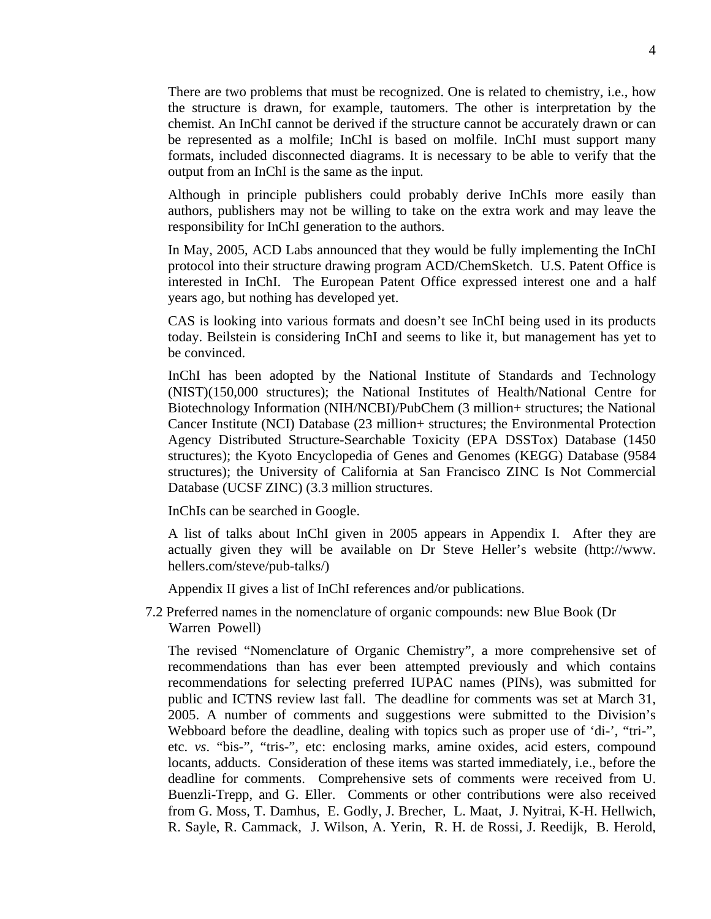There are two problems that must be recognized. One is related to chemistry, i.e., how the structure is drawn, for example, tautomers. The other is interpretation by the chemist. An InChI cannot be derived if the structure cannot be accurately drawn or can be represented as a molfile; InChI is based on molfile. InChI must support many formats, included disconnected diagrams. It is necessary to be able to verify that the output from an InChI is the same as the input.

Although in principle publishers could probably derive InChIs more easily than authors, publishers may not be willing to take on the extra work and may leave the responsibility for InChI generation to the authors.

In May, 2005, ACD Labs announced that they would be fully implementing the InChI protocol into their structure drawing program ACD/ChemSketch. U.S. Patent Office is interested in InChI. The European Patent Office expressed interest one and a half years ago, but nothing has developed yet.

CAS is looking into various formats and doesn't see InChI being used in its products today. Beilstein is considering InChI and seems to like it, but management has yet to be convinced.

InChI has been adopted by the National Institute of Standards and Technology (NIST)(150,000 structures); the National Institutes of Health/National Centre for Biotechnology Information (NIH/NCBI)/PubChem (3 million+ structures; the National Cancer Institute (NCI) Database (23 million+ structures; the Environmental Protection Agency Distributed Structure-Searchable Toxicity (EPA DSSTox) Database (1450 structures); the Kyoto Encyclopedia of Genes and Genomes (KEGG) Database (9584 structures); the University of California at San Francisco ZINC Is Not Commercial Database (UCSF ZINC) (3.3 million structures.

InChIs can be searched in Google.

A list of talks about InChI given in 2005 appears in Appendix I. After they are actually given they will be available on Dr Steve Heller's website (http://www. hellers.com/steve/pub-talks/)

Appendix II gives a list of InChI references and/or publications.

7.2 Preferred names in the nomenclature of organic compounds: new Blue Book (Dr Warren Powell)

The revised "Nomenclature of Organic Chemistry", a more comprehensive set of recommendations than has ever been attempted previously and which contains recommendations for selecting preferred IUPAC names (PINs), was submitted for public and ICTNS review last fall. The deadline for comments was set at March 31, 2005. A number of comments and suggestions were submitted to the Division's Webboard before the deadline, dealing with topics such as proper use of 'di-', "tri-", etc. *vs*. "bis-", "tris-", etc: enclosing marks, amine oxides, acid esters, compound locants, adducts. Consideration of these items was started immediately, i.e., before the deadline for comments. Comprehensive sets of comments were received from U. Buenzli-Trepp, and G. Eller. Comments or other contributions were also received from G. Moss, T. Damhus, E. Godly, J. Brecher, L. Maat, J. Nyitrai, K-H. Hellwich, R. Sayle, R. Cammack, J. Wilson, A. Yerin, R. H. de Rossi, J. Reedijk, B. Herold,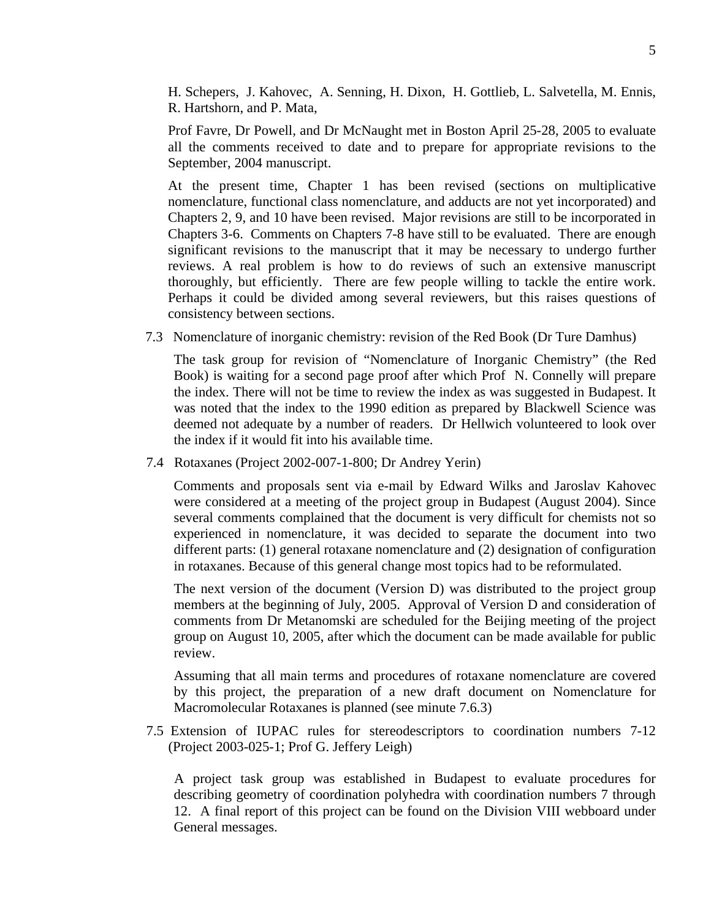H. Schepers, J. Kahovec, A. Senning, H. Dixon, H. Gottlieb, L. Salvetella, M. Ennis, R. Hartshorn, and P. Mata,

Prof Favre, Dr Powell, and Dr McNaught met in Boston April 25-28, 2005 to evaluate all the comments received to date and to prepare for appropriate revisions to the September, 2004 manuscript.

At the present time, Chapter 1 has been revised (sections on multiplicative nomenclature, functional class nomenclature, and adducts are not yet incorporated) and Chapters 2, 9, and 10 have been revised. Major revisions are still to be incorporated in Chapters 3-6. Comments on Chapters 7-8 have still to be evaluated. There are enough significant revisions to the manuscript that it may be necessary to undergo further reviews. A real problem is how to do reviews of such an extensive manuscript thoroughly, but efficiently. There are few people willing to tackle the entire work. Perhaps it could be divided among several reviewers, but this raises questions of consistency between sections.

7.3 Nomenclature of inorganic chemistry: revision of the Red Book (Dr Ture Damhus)

The task group for revision of "Nomenclature of Inorganic Chemistry" (the Red Book) is waiting for a second page proof after which Prof N. Connelly will prepare the index. There will not be time to review the index as was suggested in Budapest. It was noted that the index to the 1990 edition as prepared by Blackwell Science was deemed not adequate by a number of readers. Dr Hellwich volunteered to look over the index if it would fit into his available time.

7.4 Rotaxanes (Project 2002-007-1-800; Dr Andrey Yerin)

 Comments and proposals sent via e-mail by Edward Wilks and Jaroslav Kahovec were considered at a meeting of the project group in Budapest (August 2004). Since several comments complained that the document is very difficult for chemists not so experienced in nomenclature, it was decided to separate the document into two different parts: (1) general rotaxane nomenclature and (2) designation of configuration in rotaxanes. Because of this general change most topics had to be reformulated.

The next version of the document (Version D) was distributed to the project group members at the beginning of July, 2005. Approval of Version D and consideration of comments from Dr Metanomski are scheduled for the Beijing meeting of the project group on August 10, 2005, after which the document can be made available for public review.

Assuming that all main terms and procedures of rotaxane nomenclature are covered by this project, the preparation of a new draft document on Nomenclature for Macromolecular Rotaxanes is planned (see minute 7.6.3)

7.5 Extension of IUPAC rules for stereodescriptors to coordination numbers 7-12 (Project 2003-025-1; Prof G. Jeffery Leigh)

 A project task group was established in Budapest to evaluate procedures for describing geometry of coordination polyhedra with coordination numbers 7 through 12. A final report of this project can be found on the Division VIII webboard under General messages.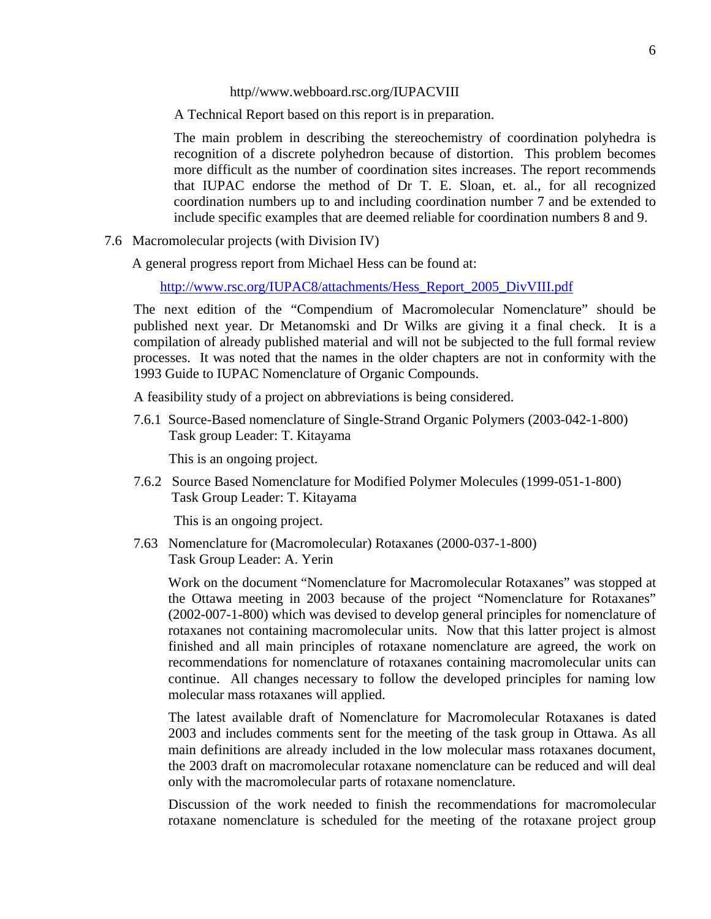http//www.webboard.rsc.org/IUPACVIII

A Technical Report based on this report is in preparation.

 The main problem in describing the stereochemistry of coordination polyhedra is recognition of a discrete polyhedron because of distortion. This problem becomes more difficult as the number of coordination sites increases. The report recommends that IUPAC endorse the method of Dr T. E. Sloan, et. al., for all recognized coordination numbers up to and including coordination number 7 and be extended to include specific examples that are deemed reliable for coordination numbers 8 and 9.

7.6 Macromolecular projects (with Division IV)

A general progress report from Michael Hess can be found at:

http://www.rsc.org/IUPAC8/attachments/Hess\_Report\_2005\_DivVIII.pdf

The next edition of the "Compendium of Macromolecular Nomenclature" should be published next year. Dr Metanomski and Dr Wilks are giving it a final check. It is a compilation of already published material and will not be subjected to the full formal review processes. It was noted that the names in the older chapters are not in conformity with the 1993 Guide to IUPAC Nomenclature of Organic Compounds.

A feasibility study of a project on abbreviations is being considered.

7.6.1 Source-Based nomenclature of Single-Strand Organic Polymers (2003-042-1-800) Task group Leader: T. Kitayama

This is an ongoing project.

7.6.2 Source Based Nomenclature for Modified Polymer Molecules (1999-051-1-800) Task Group Leader: T. Kitayama

This is an ongoing project.

7.63 Nomenclature for (Macromolecular) Rotaxanes (2000-037-1-800) Task Group Leader: A. Yerin

Work on the document "Nomenclature for Macromolecular Rotaxanes" was stopped at the Ottawa meeting in 2003 because of the project "Nomenclature for Rotaxanes" (2002-007-1-800) which was devised to develop general principles for nomenclature of rotaxanes not containing macromolecular units. Now that this latter project is almost finished and all main principles of rotaxane nomenclature are agreed, the work on recommendations for nomenclature of rotaxanes containing macromolecular units can continue. All changes necessary to follow the developed principles for naming low molecular mass rotaxanes will applied.

The latest available draft of Nomenclature for Macromolecular Rotaxanes is dated 2003 and includes comments sent for the meeting of the task group in Ottawa. As all main definitions are already included in the low molecular mass rotaxanes document, the 2003 draft on macromolecular rotaxane nomenclature can be reduced and will deal only with the macromolecular parts of rotaxane nomenclature.

Discussion of the work needed to finish the recommendations for macromolecular rotaxane nomenclature is scheduled for the meeting of the rotaxane project group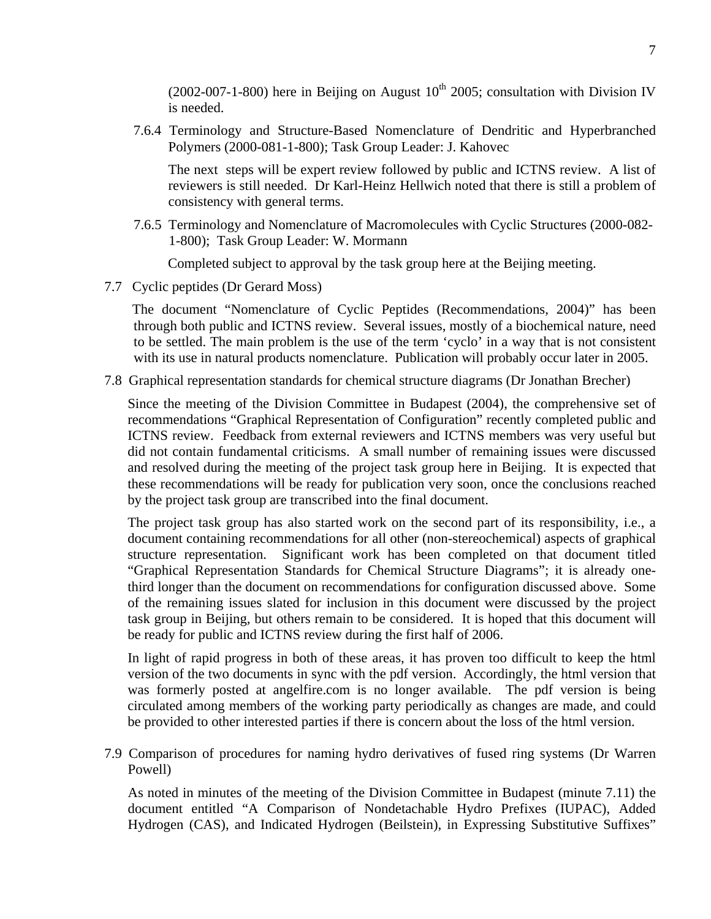(2002-007-1-800) here in Beijing on August  $10^{th}$  2005; consultation with Division IV is needed.

7.6.4 Terminology and Structure-Based Nomenclature of Dendritic and Hyperbranched Polymers (2000-081-1-800); Task Group Leader: J. Kahovec

The next steps will be expert review followed by public and ICTNS review. A list of reviewers is still needed. Dr Karl-Heinz Hellwich noted that there is still a problem of consistency with general terms.

7.6.5 Terminology and Nomenclature of Macromolecules with Cyclic Structures (2000-082- 1-800); Task Group Leader: W. Mormann

Completed subject to approval by the task group here at the Beijing meeting.

7.7 Cyclic peptides (Dr Gerard Moss)

 The document "Nomenclature of Cyclic Peptides (Recommendations, 2004)" has been through both public and ICTNS review. Several issues, mostly of a biochemical nature, need to be settled. The main problem is the use of the term 'cyclo' in a way that is not consistent with its use in natural products nomenclature. Publication will probably occur later in 2005.

7.8 Graphical representation standards for chemical structure diagrams (Dr Jonathan Brecher)

Since the meeting of the Division Committee in Budapest (2004), the comprehensive set of recommendations "Graphical Representation of Configuration" recently completed public and ICTNS review. Feedback from external reviewers and ICTNS members was very useful but did not contain fundamental criticisms. A small number of remaining issues were discussed and resolved during the meeting of the project task group here in Beijing. It is expected that these recommendations will be ready for publication very soon, once the conclusions reached by the project task group are transcribed into the final document.

The project task group has also started work on the second part of its responsibility, i.e., a document containing recommendations for all other (non-stereochemical) aspects of graphical structure representation. Significant work has been completed on that document titled "Graphical Representation Standards for Chemical Structure Diagrams"; it is already onethird longer than the document on recommendations for configuration discussed above. Some of the remaining issues slated for inclusion in this document were discussed by the project task group in Beijing, but others remain to be considered. It is hoped that this document will be ready for public and ICTNS review during the first half of 2006.

In light of rapid progress in both of these areas, it has proven too difficult to keep the html version of the two documents in sync with the pdf version. Accordingly, the html version that was formerly posted at angelfire.com is no longer available. The pdf version is being circulated among members of the working party periodically as changes are made, and could be provided to other interested parties if there is concern about the loss of the html version.

7.9 Comparison of procedures for naming hydro derivatives of fused ring systems (Dr Warren Powell)

As noted in minutes of the meeting of the Division Committee in Budapest (minute 7.11) the document entitled "A Comparison of Nondetachable Hydro Prefixes (IUPAC), Added Hydrogen (CAS), and Indicated Hydrogen (Beilstein), in Expressing Substitutive Suffixes"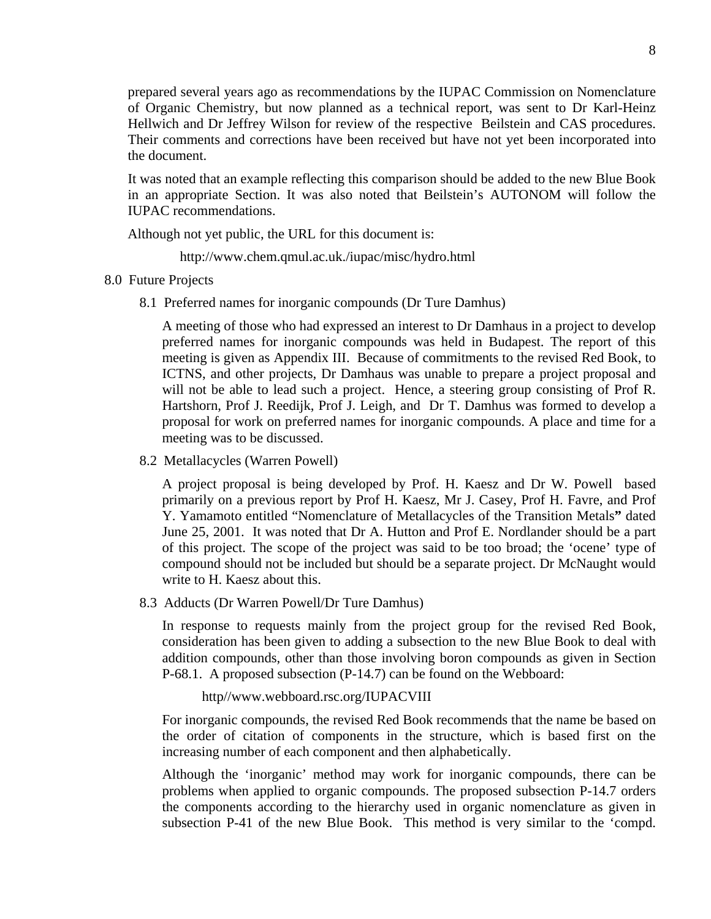prepared several years ago as recommendations by the IUPAC Commission on Nomenclature of Organic Chemistry, but now planned as a technical report, was sent to Dr Karl-Heinz Hellwich and Dr Jeffrey Wilson for review of the respective Beilstein and CAS procedures. Their comments and corrections have been received but have not yet been incorporated into the document.

It was noted that an example reflecting this comparison should be added to the new Blue Book in an appropriate Section. It was also noted that Beilstein's AUTONOM will follow the IUPAC recommendations.

Although not yet public, the URL for this document is:

http://www.chem.qmul.ac.uk./iupac/misc/hydro.html

- 8.0 Future Projects
	- 8.1 Preferred names for inorganic compounds (Dr Ture Damhus)

A meeting of those who had expressed an interest to Dr Damhaus in a project to develop preferred names for inorganic compounds was held in Budapest. The report of this meeting is given as Appendix III. Because of commitments to the revised Red Book, to ICTNS, and other projects, Dr Damhaus was unable to prepare a project proposal and will not be able to lead such a project. Hence, a steering group consisting of Prof R. Hartshorn, Prof J. Reedijk, Prof J. Leigh, and Dr T. Damhus was formed to develop a proposal for work on preferred names for inorganic compounds. A place and time for a meeting was to be discussed.

8.2 Metallacycles (Warren Powell)

A project proposal is being developed by Prof. H. Kaesz and Dr W. Powell based primarily on a previous report by Prof H. Kaesz, Mr J. Casey, Prof H. Favre, and Prof Y. Yamamoto entitled "Nomenclature of Metallacycles of the Transition Metals**"** dated June 25, 2001. It was noted that Dr A. Hutton and Prof E. Nordlander should be a part of this project. The scope of the project was said to be too broad; the 'ocene' type of compound should not be included but should be a separate project. Dr McNaught would write to H. Kaesz about this.

8.3 Adducts (Dr Warren Powell/Dr Ture Damhus)

In response to requests mainly from the project group for the revised Red Book, consideration has been given to adding a subsection to the new Blue Book to deal with addition compounds, other than those involving boron compounds as given in Section P-68.1. A proposed subsection (P-14.7) can be found on the Webboard:

http//www.webboard.rsc.org/IUPACVIII

For inorganic compounds, the revised Red Book recommends that the name be based on the order of citation of components in the structure, which is based first on the increasing number of each component and then alphabetically.

Although the 'inorganic' method may work for inorganic compounds, there can be problems when applied to organic compounds. The proposed subsection P-14.7 orders the components according to the hierarchy used in organic nomenclature as given in subsection P-41 of the new Blue Book. This method is very similar to the 'compd.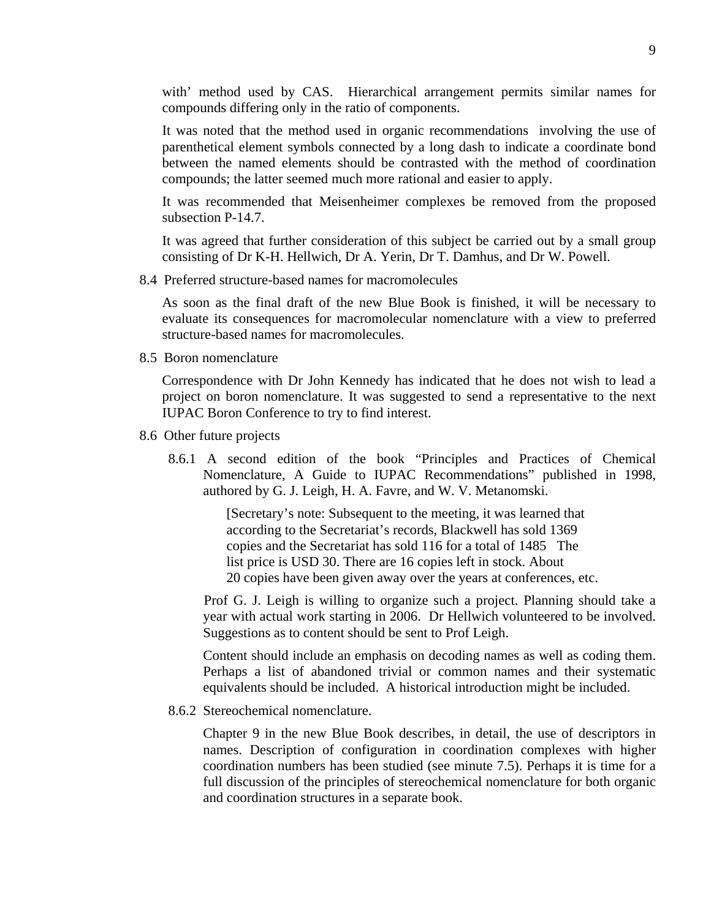with' method used by CAS. Hierarchical arrangement permits similar names for compounds differing only in the ratio of components.

It was noted that the method used in organic recommendations involving the use of parenthetical element symbols connected by a long dash to indicate a coordinate bond between the named elements should be contrasted with the method of coordination compounds; the latter seemed much more rational and easier to apply.

It was recommended that Meisenheimer complexes be removed from the proposed subsection P-14.7.

It was agreed that further consideration of this subject be carried out by a small group consisting of Dr K-H. Hellwich, Dr A. Yerin, Dr T. Damhus, and Dr W. Powell.

8.4 Preferred structure-based names for macromolecules

As soon as the final draft of the new Blue Book is finished, it will be necessary to evaluate its consequences for macromolecular nomenclature with a view to preferred structure-based names for macromolecules.

8.5 Boron nomenclature

Correspondence with Dr John Kennedy has indicated that he does not wish to lead a project on boron nomenclature. It was suggested to send a representative to the next IUPAC Boron Conference to try to find interest.

- 8.6 Other future projects
	- 8.6.1 A second edition of the book "Principles and Practices of Chemical Nomenclature, A Guide to IUPAC Recommendations" published in 1998, authored by G. J. Leigh, H. A. Favre, and W. V. Metanomski.

[Secretary's note: Subsequent to the meeting, it was learned that according to the Secretariat's records, Blackwell has sold 1369 copies and the Secretariat has sold 116 for a total of 1485 The list price is USD 30. There are 16 copies left in stock. About 20 copies have been given away over the years at conferences, etc.

 Prof G. J. Leigh is willing to organize such a project. Planning should take a year with actual work starting in 2006. Dr Hellwich volunteered to be involved. Suggestions as to content should be sent to Prof Leigh.

 Content should include an emphasis on decoding names as well as coding them. Perhaps a list of abandoned trivial or common names and their systematic equivalents should be included. A historical introduction might be included.

8.6.2 Stereochemical nomenclature.

 Chapter 9 in the new Blue Book describes, in detail, the use of descriptors in names. Description of configuration in coordination complexes with higher coordination numbers has been studied (see minute 7.5). Perhaps it is time for a full discussion of the principles of stereochemical nomenclature for both organic and coordination structures in a separate book.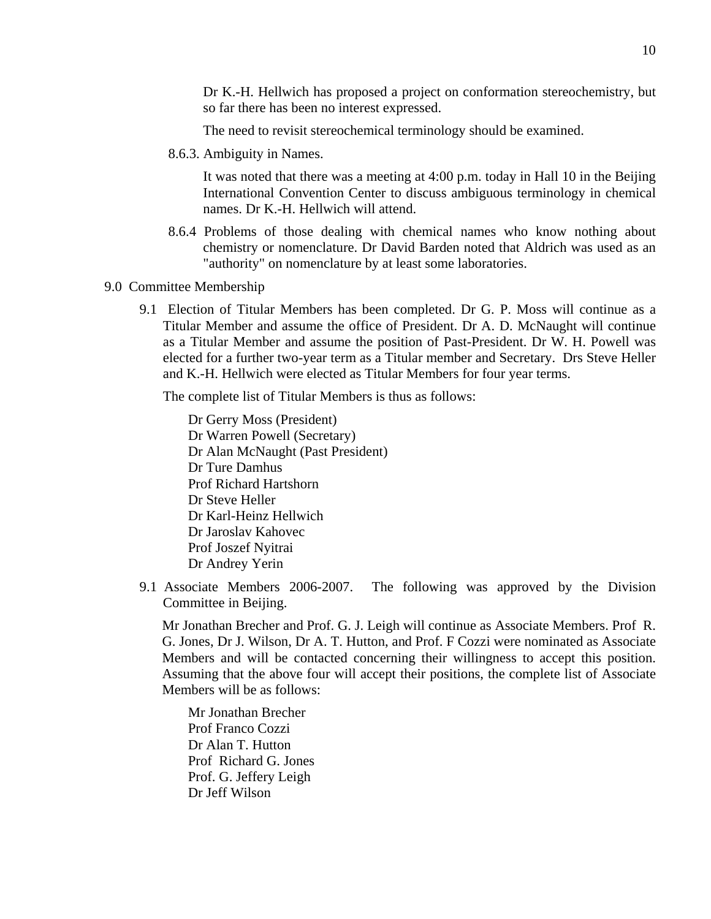Dr K.-H. Hellwich has proposed a project on conformation stereochemistry, but so far there has been no interest expressed.

The need to revisit stereochemical terminology should be examined.

8.6.3. Ambiguity in Names.

It was noted that there was a meeting at 4:00 p.m. today in Hall 10 in the Beijing International Convention Center to discuss ambiguous terminology in chemical names. Dr K.-H. Hellwich will attend.

- 8.6.4 Problems of those dealing with chemical names who know nothing about chemistry or nomenclature. Dr David Barden noted that Aldrich was used as an "authority" on nomenclature by at least some laboratories.
- 9.0 Committee Membership
	- 9.1 Election of Titular Members has been completed. Dr G. P. Moss will continue as a Titular Member and assume the office of President. Dr A. D. McNaught will continue as a Titular Member and assume the position of Past-President. Dr W. H. Powell was elected for a further two-year term as a Titular member and Secretary. Drs Steve Heller and K.-H. Hellwich were elected as Titular Members for four year terms.

The complete list of Titular Members is thus as follows:

 Dr Gerry Moss (President) Dr Warren Powell (Secretary) Dr Alan McNaught (Past President) Dr Ture Damhus Prof Richard Hartshorn Dr Steve Heller Dr Karl-Heinz Hellwich Dr Jaroslav Kahovec Prof Joszef Nyitrai Dr Andrey Yerin

9.1 Associate Members 2006-2007. The following was approved by the Division Committee in Beijing.

Mr Jonathan Brecher and Prof. G. J. Leigh will continue as Associate Members. Prof R. G. Jones, Dr J. Wilson, Dr A. T. Hutton, and Prof. F Cozzi were nominated as Associate Members and will be contacted concerning their willingness to accept this position. Assuming that the above four will accept their positions, the complete list of Associate Members will be as follows:

 Mr Jonathan Brecher Prof Franco Cozzi Dr Alan T. Hutton Prof Richard G. Jones Prof. G. Jeffery Leigh Dr Jeff Wilson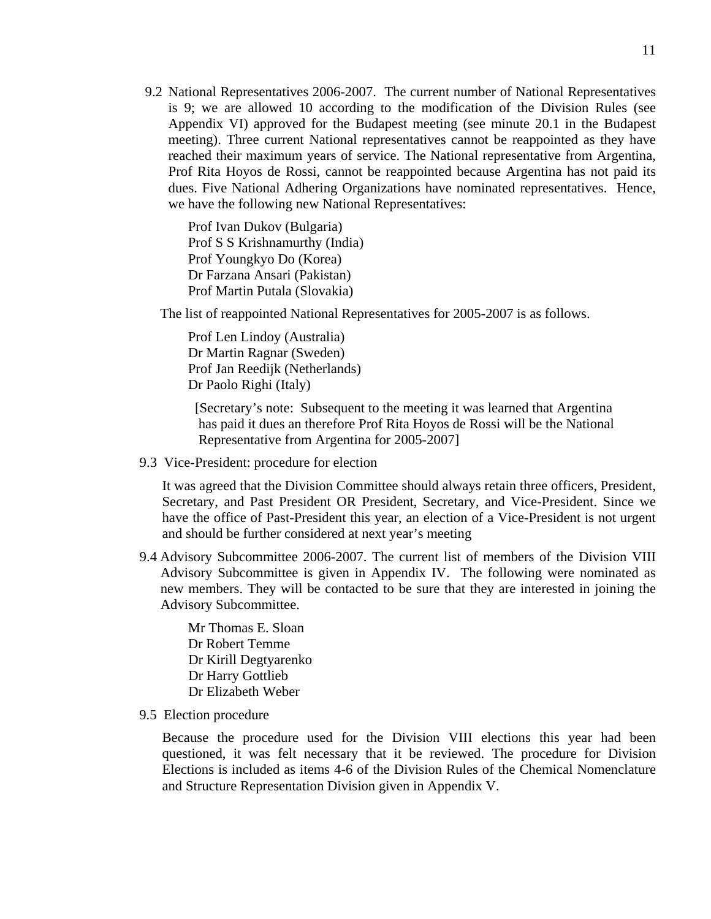9.2 National Representatives 2006-2007. The current number of National Representatives is 9; we are allowed 10 according to the modification of the Division Rules (see Appendix VI) approved for the Budapest meeting (see minute 20.1 in the Budapest meeting). Three current National representatives cannot be reappointed as they have reached their maximum years of service. The National representative from Argentina, Prof Rita Hoyos de Rossi, cannot be reappointed because Argentina has not paid its dues. Five National Adhering Organizations have nominated representatives. Hence, we have the following new National Representatives:

Prof Ivan Dukov (Bulgaria) Prof S S Krishnamurthy (India) Prof Youngkyo Do (Korea) Dr Farzana Ansari (Pakistan) Prof Martin Putala (Slovakia)

The list of reappointed National Representatives for 2005-2007 is as follows.

 Prof Len Lindoy (Australia) Dr Martin Ragnar (Sweden) Prof Jan Reedijk (Netherlands) Dr Paolo Righi (Italy)

 [Secretary's note: Subsequent to the meeting it was learned that Argentina has paid it dues an therefore Prof Rita Hoyos de Rossi will be the National Representative from Argentina for 2005-2007]

9.3 Vice-President: procedure for election

It was agreed that the Division Committee should always retain three officers, President, Secretary, and Past President OR President, Secretary, and Vice-President. Since we have the office of Past-President this year, an election of a Vice-President is not urgent and should be further considered at next year's meeting

9.4 Advisory Subcommittee 2006-2007. The current list of members of the Division VIII Advisory Subcommittee is given in Appendix IV. The following were nominated as new members. They will be contacted to be sure that they are interested in joining the Advisory Subcommittee.

 Mr Thomas E. Sloan Dr Robert Temme Dr Kirill Degtyarenko Dr Harry Gottlieb Dr Elizabeth Weber

9.5 Election procedure

Because the procedure used for the Division VIII elections this year had been questioned, it was felt necessary that it be reviewed. The procedure for Division Elections is included as items 4-6 of the Division Rules of the Chemical Nomenclature and Structure Representation Division given in Appendix V.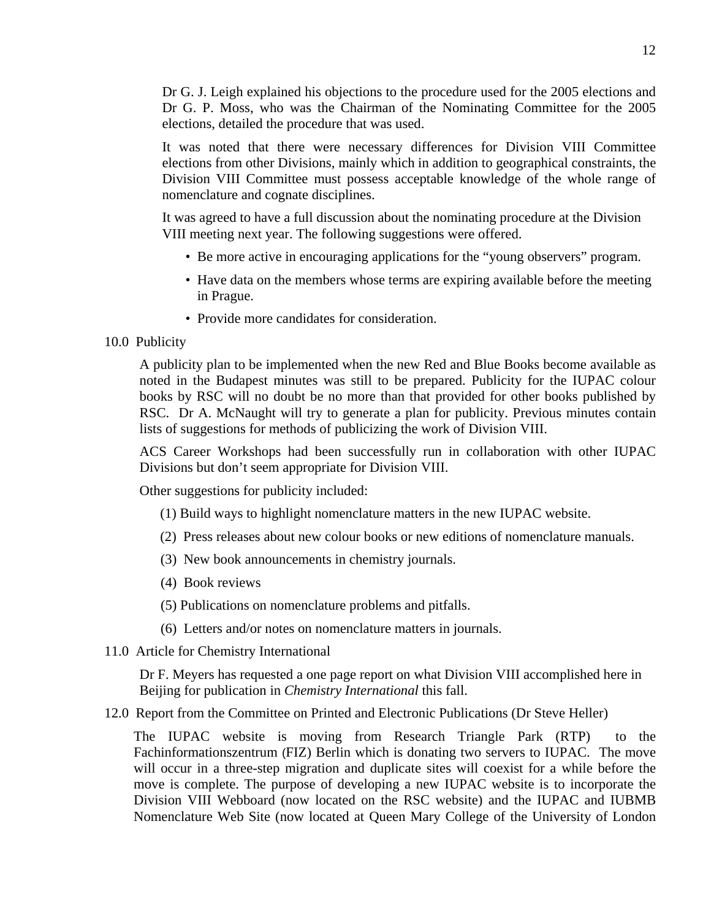Dr G. J. Leigh explained his objections to the procedure used for the 2005 elections and Dr G. P. Moss, who was the Chairman of the Nominating Committee for the 2005 elections, detailed the procedure that was used.

It was noted that there were necessary differences for Division VIII Committee elections from other Divisions, mainly which in addition to geographical constraints, the Division VIII Committee must possess acceptable knowledge of the whole range of nomenclature and cognate disciplines.

It was agreed to have a full discussion about the nominating procedure at the Division VIII meeting next year. The following suggestions were offered.

- Be more active in encouraging applications for the "young observers" program.
- Have data on the members whose terms are expiring available before the meeting in Prague.
- Provide more candidates for consideration.
- 10.0 Publicity

A publicity plan to be implemented when the new Red and Blue Books become available as noted in the Budapest minutes was still to be prepared. Publicity for the IUPAC colour books by RSC will no doubt be no more than that provided for other books published by RSC. Dr A. McNaught will try to generate a plan for publicity. Previous minutes contain lists of suggestions for methods of publicizing the work of Division VIII.

ACS Career Workshops had been successfully run in collaboration with other IUPAC Divisions but don't seem appropriate for Division VIII.

Other suggestions for publicity included:

- (1) Build ways to highlight nomenclature matters in the new IUPAC website.
- (2) Press releases about new colour books or new editions of nomenclature manuals.
- (3) New book announcements in chemistry journals.
- (4) Book reviews
- (5) Publications on nomenclature problems and pitfalls.
- (6) Letters and/or notes on nomenclature matters in journals.
- 11.0 Article for Chemistry International

Dr F. Meyers has requested a one page report on what Division VIII accomplished here in Beijing for publication in *Chemistry International* this fall.

12.0 Report from the Committee on Printed and Electronic Publications (Dr Steve Heller)

The IUPAC website is moving from Research Triangle Park (RTP) to the Fachinformationszentrum (FIZ) Berlin which is donating two servers to IUPAC. The move will occur in a three-step migration and duplicate sites will coexist for a while before the move is complete. The purpose of developing a new IUPAC website is to incorporate the Division VIII Webboard (now located on the RSC website) and the IUPAC and IUBMB Nomenclature Web Site (now located at Queen Mary College of the University of London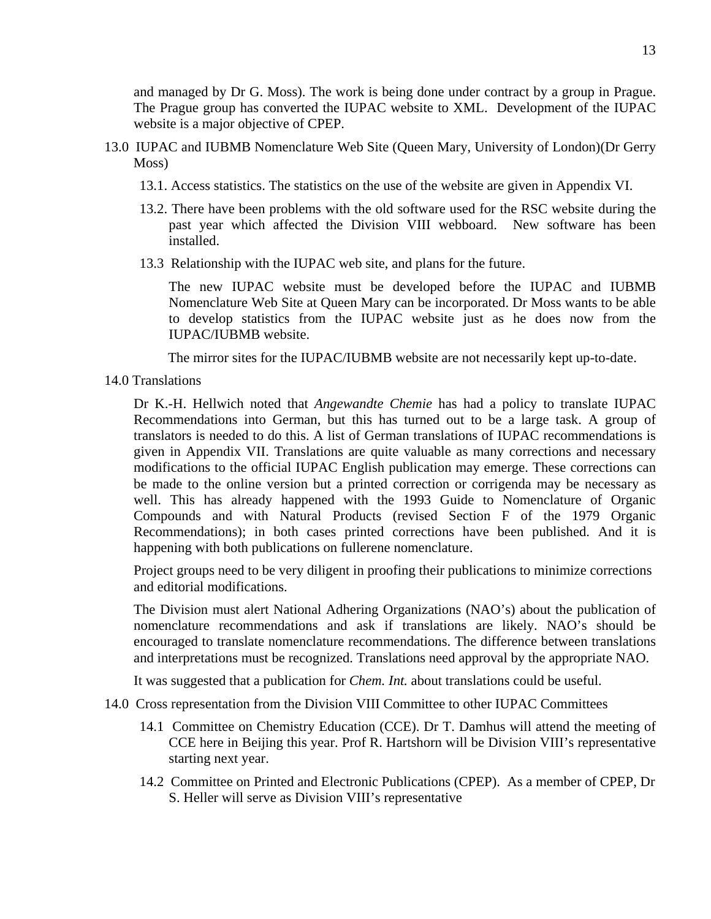and managed by Dr G. Moss). The work is being done under contract by a group in Prague. The Prague group has converted the IUPAC website to XML. Development of the IUPAC website is a major objective of CPEP.

- 13.0 IUPAC and IUBMB Nomenclature Web Site (Queen Mary, University of London)(Dr Gerry Moss)
	- 13.1. Access statistics. The statistics on the use of the website are given in Appendix VI.
	- 13.2. There have been problems with the old software used for the RSC website during the past year which affected the Division VIII webboard. New software has been installed.
	- 13.3 Relationship with the IUPAC web site, and plans for the future.

 The new IUPAC website must be developed before the IUPAC and IUBMB Nomenclature Web Site at Queen Mary can be incorporated. Dr Moss wants to be able to develop statistics from the IUPAC website just as he does now from the IUPAC/IUBMB website.

The mirror sites for the IUPAC/IUBMB website are not necessarily kept up-to-date.

14.0 Translations

Dr K.-H. Hellwich noted that *Angewandte Chemie* has had a policy to translate IUPAC Recommendations into German, but this has turned out to be a large task. A group of translators is needed to do this. A list of German translations of IUPAC recommendations is given in Appendix VII. Translations are quite valuable as many corrections and necessary modifications to the official IUPAC English publication may emerge. These corrections can be made to the online version but a printed correction or corrigenda may be necessary as well. This has already happened with the 1993 Guide to Nomenclature of Organic Compounds and with Natural Products (revised Section F of the 1979 Organic Recommendations); in both cases printed corrections have been published. And it is happening with both publications on fullerene nomenclature.

Project groups need to be very diligent in proofing their publications to minimize corrections and editorial modifications.

The Division must alert National Adhering Organizations (NAO's) about the publication of nomenclature recommendations and ask if translations are likely. NAO's should be encouraged to translate nomenclature recommendations. The difference between translations and interpretations must be recognized. Translations need approval by the appropriate NAO.

It was suggested that a publication for *Chem. Int.* about translations could be useful.

- 14.0 Cross representation from the Division VIII Committee to other IUPAC Committees
	- 14.1 Committee on Chemistry Education (CCE). Dr T. Damhus will attend the meeting of CCE here in Beijing this year. Prof R. Hartshorn will be Division VIII's representative starting next year.
	- 14.2 Committee on Printed and Electronic Publications (CPEP). As a member of CPEP, Dr S. Heller will serve as Division VIII's representative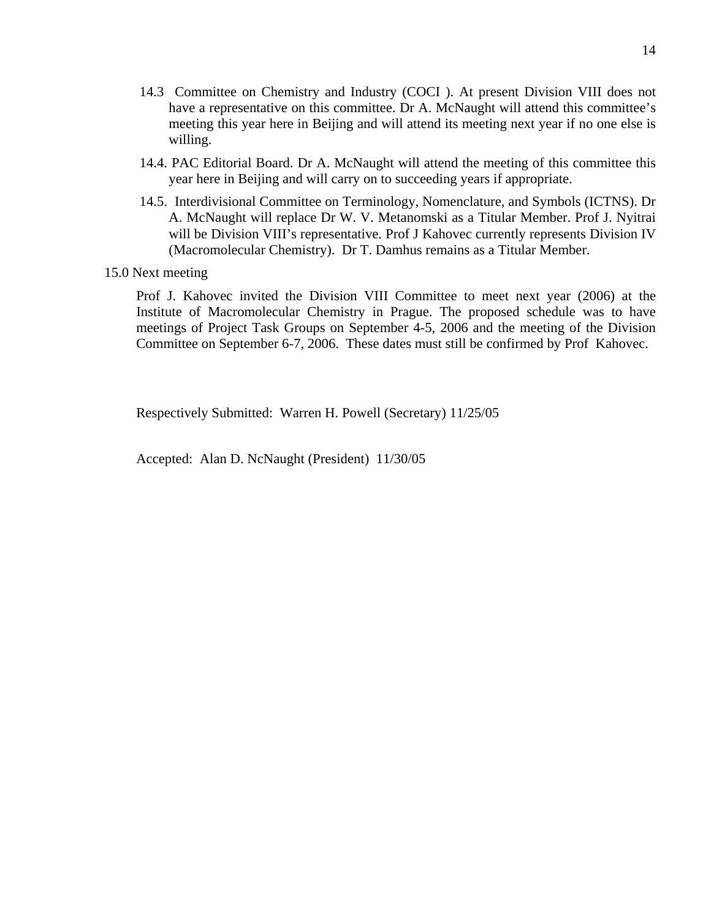- 14.3 Committee on Chemistry and Industry (COCI ). At present Division VIII does not have a representative on this committee. Dr A. McNaught will attend this committee's meeting this year here in Beijing and will attend its meeting next year if no one else is willing.
- 14.4. PAC Editorial Board. Dr A. McNaught will attend the meeting of this committee this year here in Beijing and will carry on to succeeding years if appropriate.
- 14.5. Interdivisional Committee on Terminology, Nomenclature, and Symbols (ICTNS). Dr A. McNaught will replace Dr W. V. Metanomski as a Titular Member. Prof J. Nyitrai will be Division VIII's representative. Prof J Kahovec currently represents Division IV (Macromolecular Chemistry). Dr T. Damhus remains as a Titular Member.
- 15.0 Next meeting

Prof J. Kahovec invited the Division VIII Committee to meet next year (2006) at the Institute of Macromolecular Chemistry in Prague. The proposed schedule was to have meetings of Project Task Groups on September 4-5, 2006 and the meeting of the Division Committee on September 6-7, 2006. These dates must still be confirmed by Prof Kahovec.

Respectively Submitted: Warren H. Powell (Secretary) 11/25/05

Accepted: Alan D. NcNaught (President) 11/30/05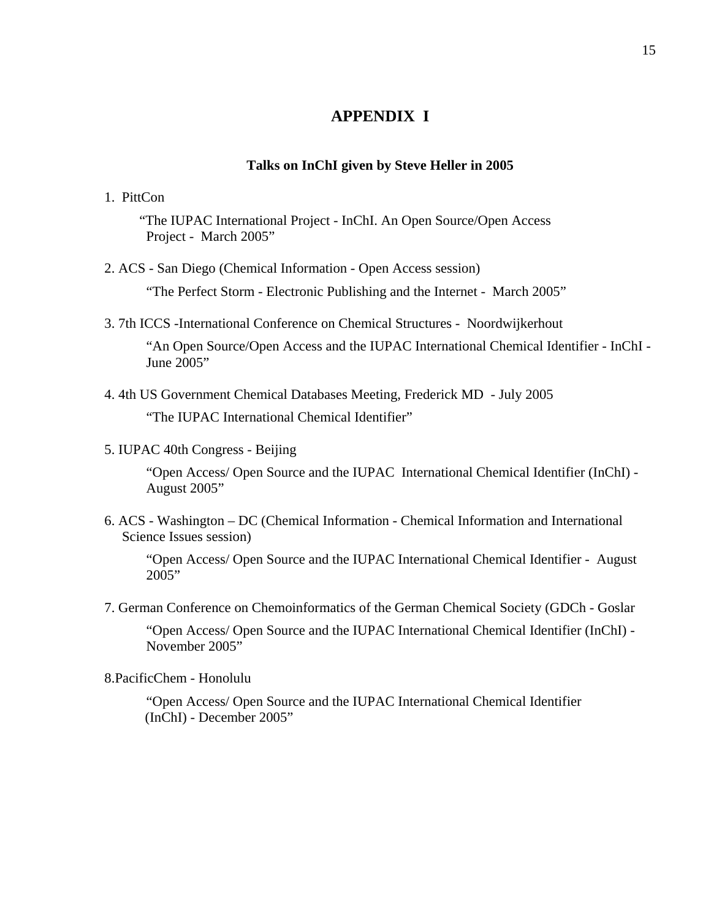# **APPENDIX I**

### **Talks on InChI given by Steve Heller in 2005**

1. PittCon

 "The IUPAC International Project - InChI. An Open Source/Open Access Project - March 2005"

2. ACS - San Diego (Chemical Information - Open Access session)

"The Perfect Storm - Electronic Publishing and the Internet - March 2005"

3. 7th ICCS -International Conference on Chemical Structures - Noordwijkerhout

"An Open Source/Open Access and the IUPAC International Chemical Identifier - InChI - June 2005"

4. 4th US Government Chemical Databases Meeting, Frederick MD - July 2005

"The IUPAC International Chemical Identifier"

5. IUPAC 40th Congress - Beijing

"Open Access/ Open Source and the IUPAC International Chemical Identifier (InChI) - August 2005"

6. ACS - Washington – DC (Chemical Information - Chemical Information and International Science Issues session)

"Open Access/ Open Source and the IUPAC International Chemical Identifier - August 2005"

7. German Conference on Chemoinformatics of the German Chemical Society (GDCh - Goslar

"Open Access/ Open Source and the IUPAC International Chemical Identifier (InChI) - November 2005"

8.PacificChem - Honolulu

"Open Access/ Open Source and the IUPAC International Chemical Identifier (InChI) - December 2005"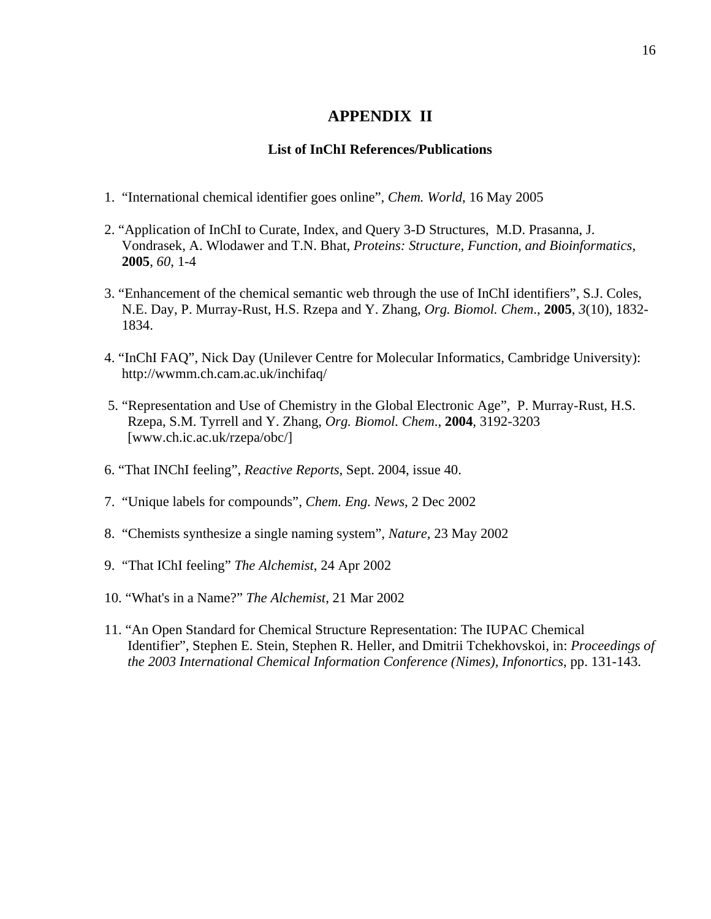# **APPENDIX II**

## **List of InChI References/Publications**

- 1. "International chemical identifier goes online", *Chem. World*, 16 May 2005
- 2. "Application of InChI to Curate, Index, and Query 3-D Structures, M.D. Prasanna, J. Vondrasek, A. Wlodawer and T.N. Bhat, *Proteins: Structure, Function, and Bioinformatics,* **2005**, *60*, 1-4
- 3. "Enhancement of the chemical semantic web through the use of InChI identifiers", S.J. Coles, N.E. Day, P. Murray-Rust, H.S. Rzepa and Y. Zhang, *Org. Biomol. Chem*., **2005**, *3*(10), 1832- 1834.
- 4. "InChI FAQ", Nick Day (Unilever Centre for Molecular Informatics, Cambridge University): http://wwmm.ch.cam.ac.uk/inchifaq/
- 5. "Representation and Use of Chemistry in the Global Electronic Age", P. Murray-Rust, H.S. Rzepa, S.M. Tyrrell and Y. Zhang, *Org. Biomol. Chem*., **2004**, 3192-3203 [www.ch.ic.ac.uk/rzepa/obc/]
- 6. "That INChI feeling", *Reactive Reports*, Sept. 2004, issue 40.
- 7. "Unique labels for compounds", *Chem. Eng. News*, 2 Dec 2002
- 8. "Chemists synthesize a single naming system", *Nature,* 23 May 2002
- 9. "That IChI feeling" *The Alchemist*, 24 Apr 2002
- 10. "What's in a Name?" *The Alchemist*, 21 Mar 2002
- 11. "An Open Standard for Chemical Structure Representation: The IUPAC Chemical Identifier", Stephen E. Stein, Stephen R. Heller, and Dmitrii Tchekhovskoi, in: *Proceedings of the 2003 International Chemical Information Conference (Nimes), Infonortics*, pp. 131-143.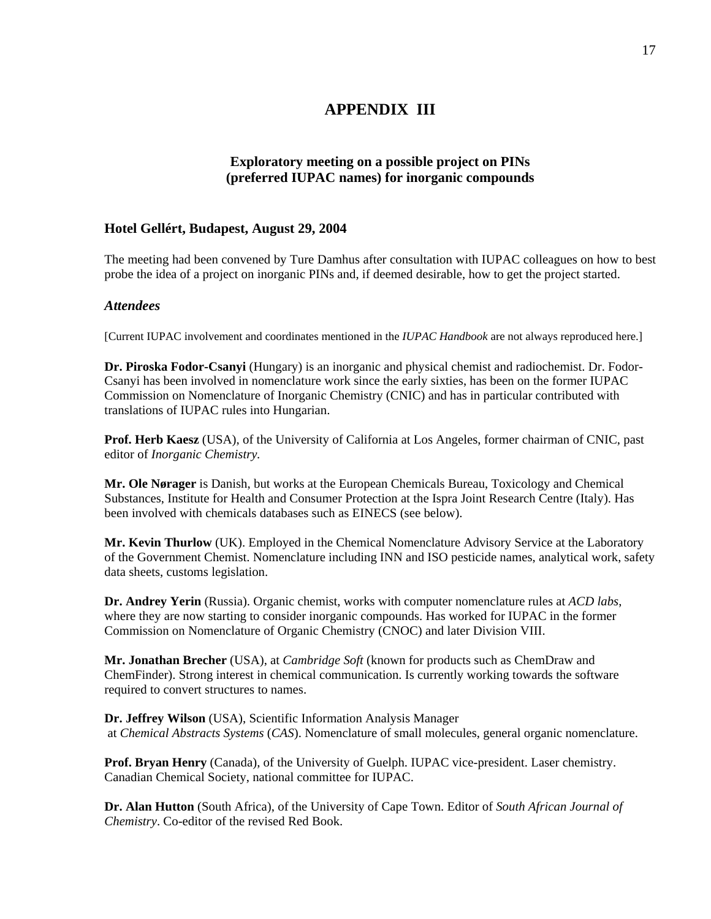# **APPENDIX III**

# **Exploratory meeting on a possible project on PINs (preferred IUPAC names) for inorganic compounds**

### **Hotel Gellért, Budapest, August 29, 2004**

The meeting had been convened by Ture Damhus after consultation with IUPAC colleagues on how to best probe the idea of a project on inorganic PINs and, if deemed desirable, how to get the project started.

#### *Attendees*

[Current IUPAC involvement and coordinates mentioned in the *IUPAC Handbook* are not always reproduced here.]

**Dr. Piroska Fodor-Csanyi** (Hungary) is an inorganic and physical chemist and radiochemist. Dr. Fodor-Csanyi has been involved in nomenclature work since the early sixties, has been on the former IUPAC Commission on Nomenclature of Inorganic Chemistry (CNIC) and has in particular contributed with translations of IUPAC rules into Hungarian.

**Prof. Herb Kaesz** (USA), of the University of California at Los Angeles, former chairman of CNIC, past editor of *Inorganic Chemistry.*

**Mr. Ole Nørager** is Danish, but works at the European Chemicals Bureau, Toxicology and Chemical Substances, Institute for Health and Consumer Protection at the Ispra Joint Research Centre (Italy). Has been involved with chemicals databases such as EINECS (see below).

**Mr. Kevin Thurlow** (UK). Employed in the Chemical Nomenclature Advisory Service at the Laboratory of the Government Chemist. Nomenclature including INN and ISO pesticide names, analytical work, safety data sheets, customs legislation.

**Dr. Andrey Yerin** (Russia). Organic chemist, works with computer nomenclature rules at *ACD labs*, where they are now starting to consider inorganic compounds. Has worked for IUPAC in the former Commission on Nomenclature of Organic Chemistry (CNOC) and later Division VIII.

**Mr. Jonathan Brecher** (USA), at *Cambridge Soft* (known for products such as ChemDraw and ChemFinder). Strong interest in chemical communication. Is currently working towards the software required to convert structures to names.

**Dr. Jeffrey Wilson** (USA), Scientific Information Analysis Manager at *Chemical Abstracts Systems* (*CAS*). Nomenclature of small molecules, general organic nomenclature.

**Prof. Bryan Henry** (Canada), of the University of Guelph. IUPAC vice-president. Laser chemistry. Canadian Chemical Society, national committee for IUPAC.

**Dr. Alan Hutton** (South Africa), of the University of Cape Town. Editor of *South African Journal of Chemistry*. Co-editor of the revised Red Book.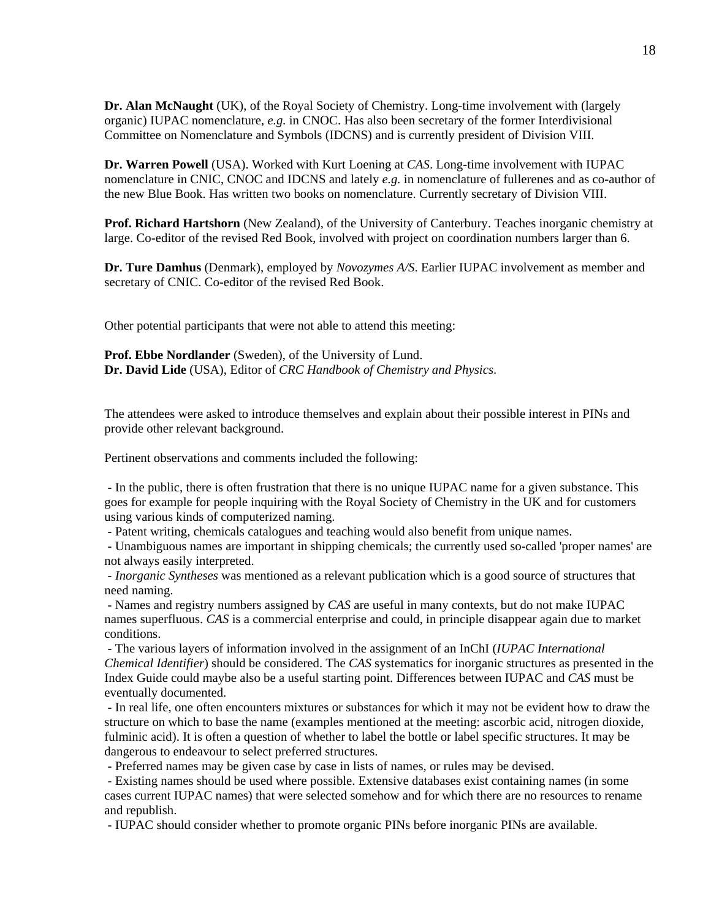**Dr. Alan McNaught** (UK), of the Royal Society of Chemistry. Long-time involvement with (largely organic) IUPAC nomenclature, *e.g.* in CNOC. Has also been secretary of the former Interdivisional Committee on Nomenclature and Symbols (IDCNS) and is currently president of Division VIII.

**Dr. Warren Powell** (USA). Worked with Kurt Loening at *CAS*. Long-time involvement with IUPAC nomenclature in CNIC, CNOC and IDCNS and lately *e.g.* in nomenclature of fullerenes and as co-author of the new Blue Book. Has written two books on nomenclature. Currently secretary of Division VIII.

**Prof. Richard Hartshorn** (New Zealand), of the University of Canterbury. Teaches inorganic chemistry at large. Co-editor of the revised Red Book, involved with project on coordination numbers larger than 6.

**Dr. Ture Damhus** (Denmark), employed by *Novozymes A/S*. Earlier IUPAC involvement as member and secretary of CNIC. Co-editor of the revised Red Book.

Other potential participants that were not able to attend this meeting:

**Prof. Ebbe Nordlander** (Sweden), of the University of Lund. **Dr. David Lide** (USA), Editor of *CRC Handbook of Chemistry and Physics*.

The attendees were asked to introduce themselves and explain about their possible interest in PINs and provide other relevant background.

Pertinent observations and comments included the following:

 - In the public, there is often frustration that there is no unique IUPAC name for a given substance. This goes for example for people inquiring with the Royal Society of Chemistry in the UK and for customers using various kinds of computerized naming.

- Patent writing, chemicals catalogues and teaching would also benefit from unique names.

 - Unambiguous names are important in shipping chemicals; the currently used so-called 'proper names' are not always easily interpreted.

 *- Inorganic Syntheses* was mentioned as a relevant publication which is a good source of structures that need naming.

 - Names and registry numbers assigned by *CAS* are useful in many contexts, but do not make IUPAC names superfluous. *CAS* is a commercial enterprise and could, in principle disappear again due to market conditions.

 - The various layers of information involved in the assignment of an InChI (*IUPAC International Chemical Identifier*) should be considered. The *CAS* systematics for inorganic structures as presented in the Index Guide could maybe also be a useful starting point. Differences between IUPAC and *CAS* must be eventually documented.

 - In real life, one often encounters mixtures or substances for which it may not be evident how to draw the structure on which to base the name (examples mentioned at the meeting: ascorbic acid, nitrogen dioxide, fulminic acid). It is often a question of whether to label the bottle or label specific structures. It may be dangerous to endeavour to select preferred structures.

- Preferred names may be given case by case in lists of names, or rules may be devised.

 - Existing names should be used where possible. Extensive databases exist containing names (in some cases current IUPAC names) that were selected somehow and for which there are no resources to rename and republish.

- IUPAC should consider whether to promote organic PINs before inorganic PINs are available.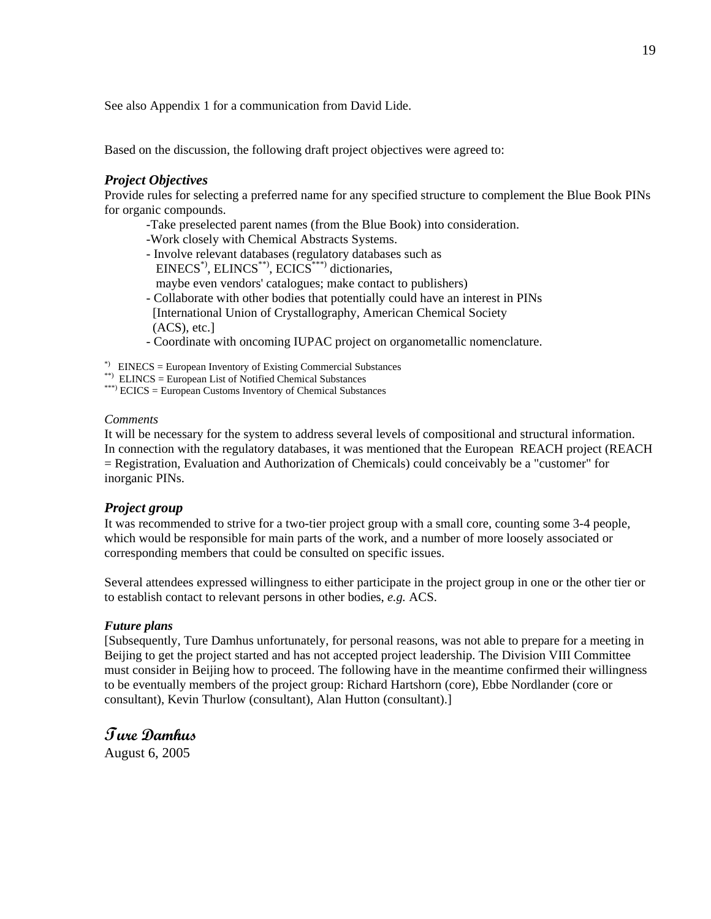See also Appendix 1 for a communication from David Lide.

Based on the discussion, the following draft project objectives were agreed to:

### *Project Objectives*

Provide rules for selecting a preferred name for any specified structure to complement the Blue Book PINs for organic compounds.

- -Take preselected parent names (from the Blue Book) into consideration.
- -Work closely with Chemical Abstracts Systems.
- Involve relevant databases (regulatory databases such as
	- EINECS\*), ELINCS\*\*), ECICS\*\*\*) dictionaries,
	- maybe even vendors' catalogues; make contact to publishers)
- Collaborate with other bodies that potentially could have an interest in PINs [International Union of Crystallography, American Chemical Society
- $(ACS)$ , etc.
- Coordinate with oncoming IUPAC project on organometallic nomenclature.

\*) EINECS = European Inventory of Existing Commercial Substances

\*\*) ELINCS = European List of Notified Chemical Substances

\*\*\*) ECICS = European Customs Inventory of Chemical Substances

#### *Comments*

It will be necessary for the system to address several levels of compositional and structural information. In connection with the regulatory databases, it was mentioned that the European REACH project (REACH = Registration, Evaluation and Authorization of Chemicals) could conceivably be a "customer" for inorganic PINs.

### *Project group*

It was recommended to strive for a two-tier project group with a small core, counting some 3-4 people, which would be responsible for main parts of the work, and a number of more loosely associated or corresponding members that could be consulted on specific issues.

Several attendees expressed willingness to either participate in the project group in one or the other tier or to establish contact to relevant persons in other bodies, *e.g.* ACS.

### *Future plans*

[Subsequently, Ture Damhus unfortunately, for personal reasons, was not able to prepare for a meeting in Beijing to get the project started and has not accepted project leadership. The Division VIII Committee must consider in Beijing how to proceed. The following have in the meantime confirmed their willingness to be eventually members of the project group: Richard Hartshorn (core), Ebbe Nordlander (core or consultant), Kevin Thurlow (consultant), Alan Hutton (consultant).]

# **Ture Damhus**

August 6, 2005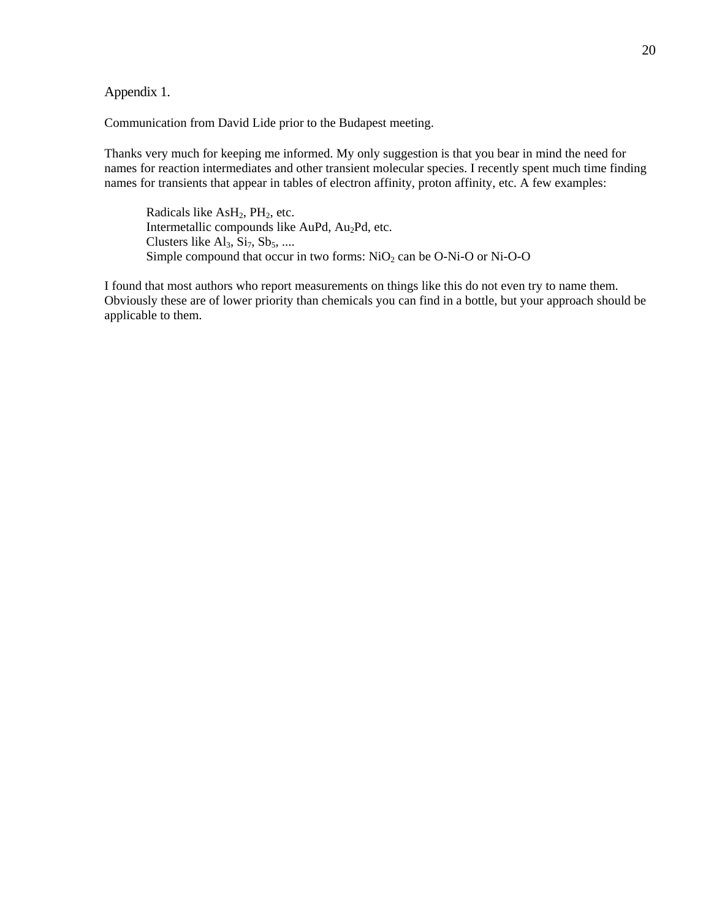Appendix 1.

Communication from David Lide prior to the Budapest meeting.

Thanks very much for keeping me informed. My only suggestion is that you bear in mind the need for names for reaction intermediates and other transient molecular species. I recently spent much time finding names for transients that appear in tables of electron affinity, proton affinity, etc. A few examples:

Radicals like  $\text{AsH}_2$ , PH<sub>2</sub>, etc. Intermetallic compounds like AuPd, Au2Pd, etc. Clusters like  $Al<sub>3</sub>$ ,  $Si<sub>7</sub>$ ,  $Sb<sub>5</sub>$ , .... Simple compound that occur in two forms:  $NiO<sub>2</sub>$  can be O-Ni-O or Ni-O-O

I found that most authors who report measurements on things like this do not even try to name them. Obviously these are of lower priority than chemicals you can find in a bottle, but your approach should be applicable to them.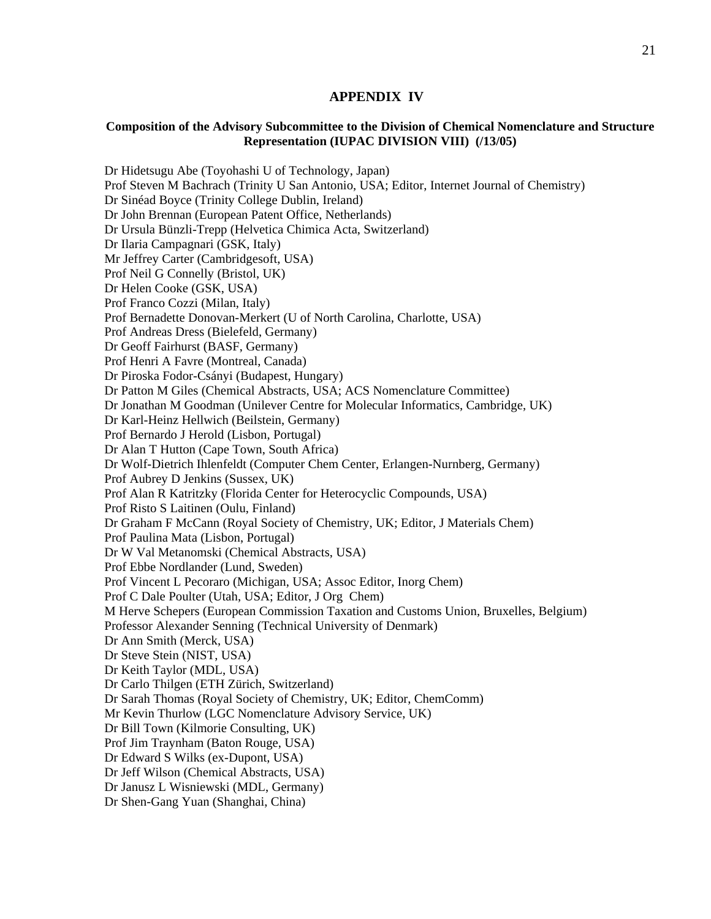#### **APPENDIX IV**

#### **Composition of the Advisory Subcommittee to the Division of Chemical Nomenclature and Structure Representation (IUPAC DIVISION VIII) (/13/05)**

Dr Hidetsugu Abe (Toyohashi U of Technology, Japan) Prof Steven M Bachrach (Trinity U San Antonio, USA; Editor, Internet Journal of Chemistry) Dr Sinéad Boyce (Trinity College Dublin, Ireland) Dr John Brennan (European Patent Office, Netherlands) Dr Ursula Bünzli-Trepp (Helvetica Chimica Acta, Switzerland) Dr Ilaria Campagnari (GSK, Italy) Mr Jeffrey Carter (Cambridgesoft, USA) Prof Neil G Connelly (Bristol, UK) Dr Helen Cooke (GSK, USA) Prof Franco Cozzi (Milan, Italy) Prof Bernadette Donovan-Merkert (U of North Carolina, Charlotte, USA) Prof Andreas Dress (Bielefeld, Germany) Dr Geoff Fairhurst (BASF, Germany) Prof Henri A Favre (Montreal, Canada) Dr Piroska Fodor-Csányi (Budapest, Hungary) Dr Patton M Giles (Chemical Abstracts, USA; ACS Nomenclature Committee) Dr Jonathan M Goodman (Unilever Centre for Molecular Informatics, Cambridge, UK) Dr Karl-Heinz Hellwich (Beilstein, Germany) Prof Bernardo J Herold (Lisbon, Portugal) Dr Alan T Hutton (Cape Town, South Africa) Dr Wolf-Dietrich Ihlenfeldt (Computer Chem Center, Erlangen-Nurnberg, Germany) Prof Aubrey D Jenkins (Sussex, UK) Prof Alan R Katritzky (Florida Center for Heterocyclic Compounds, USA) Prof Risto S Laitinen (Oulu, Finland) Dr Graham F McCann (Royal Society of Chemistry, UK; Editor, J Materials Chem) Prof Paulina Mata (Lisbon, Portugal) Dr W Val Metanomski (Chemical Abstracts, USA) Prof Ebbe Nordlander (Lund, Sweden) Prof Vincent L Pecoraro (Michigan, USA; Assoc Editor, Inorg Chem) Prof C Dale Poulter (Utah, USA; Editor, J Org Chem) M Herve Schepers (European Commission Taxation and Customs Union, Bruxelles, Belgium) Professor Alexander Senning (Technical University of Denmark) Dr Ann Smith (Merck, USA) Dr Steve Stein (NIST, USA) Dr Keith Taylor (MDL, USA) Dr Carlo Thilgen (ETH Zürich, Switzerland) Dr Sarah Thomas (Royal Society of Chemistry, UK; Editor, ChemComm) Mr Kevin Thurlow (LGC Nomenclature Advisory Service, UK) Dr Bill Town (Kilmorie Consulting, UK) Prof Jim Traynham (Baton Rouge, USA) Dr Edward S Wilks (ex-Dupont, USA) Dr Jeff Wilson (Chemical Abstracts, USA) Dr Janusz L Wisniewski (MDL, Germany) Dr Shen-Gang Yuan (Shanghai, China)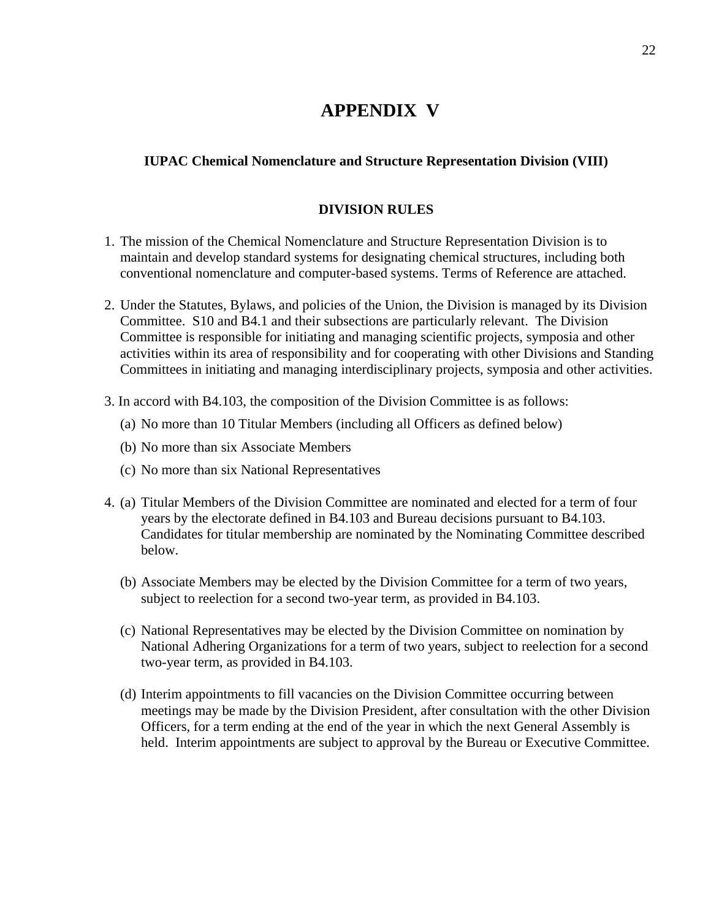# **APPENDIX V**

# **IUPAC Chemical Nomenclature and Structure Representation Division (VIII)**

### **DIVISION RULES**

- 1. The mission of the Chemical Nomenclature and Structure Representation Division is to maintain and develop standard systems for designating chemical structures, including both conventional nomenclature and computer-based systems. Terms of Reference are attached.
- 2. Under the Statutes, Bylaws, and policies of the Union, the Division is managed by its Division Committee. S10 and B4.1 and their subsections are particularly relevant. The Division Committee is responsible for initiating and managing scientific projects, symposia and other activities within its area of responsibility and for cooperating with other Divisions and Standing Committees in initiating and managing interdisciplinary projects, symposia and other activities.
- 3. In accord with B4.103, the composition of the Division Committee is as follows:
	- (a) No more than 10 Titular Members (including all Officers as defined below)
	- (b) No more than six Associate Members
	- (c) No more than six National Representatives
- 4. (a) Titular Members of the Division Committee are nominated and elected for a term of four years by the electorate defined in B4.103 and Bureau decisions pursuant to B4.103. Candidates for titular membership are nominated by the Nominating Committee described below.
	- (b) Associate Members may be elected by the Division Committee for a term of two years, subject to reelection for a second two-year term, as provided in B4.103.
	- (c) National Representatives may be elected by the Division Committee on nomination by National Adhering Organizations for a term of two years, subject to reelection for a second two-year term, as provided in B4.103.
	- (d) Interim appointments to fill vacancies on the Division Committee occurring between meetings may be made by the Division President, after consultation with the other Division Officers, for a term ending at the end of the year in which the next General Assembly is held. Interim appointments are subject to approval by the Bureau or Executive Committee.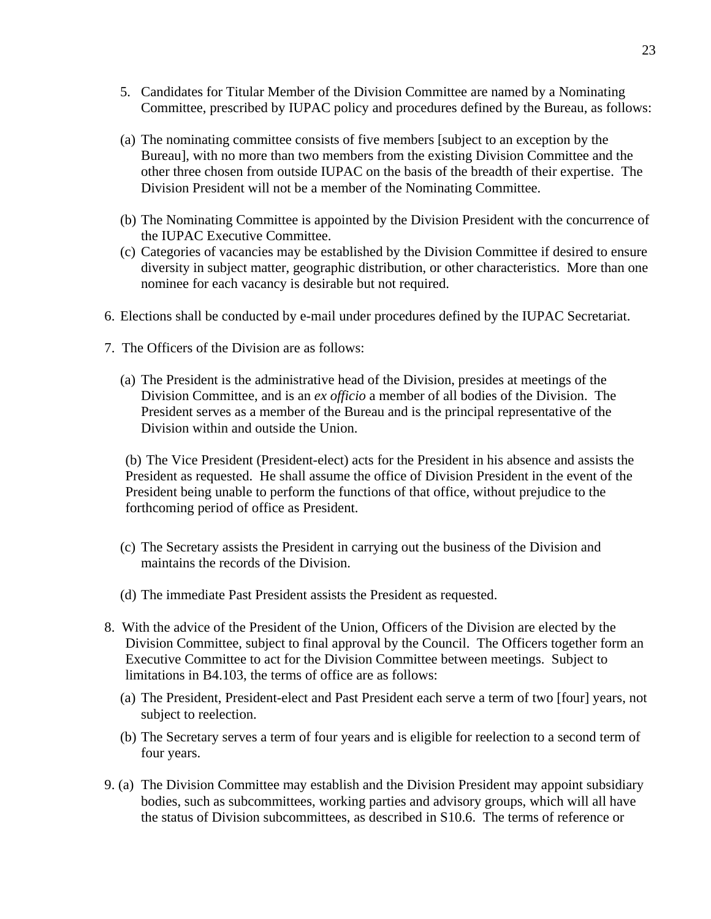- 5. Candidates for Titular Member of the Division Committee are named by a Nominating Committee, prescribed by IUPAC policy and procedures defined by the Bureau, as follows:
- (a) The nominating committee consists of five members [subject to an exception by the Bureau], with no more than two members from the existing Division Committee and the other three chosen from outside IUPAC on the basis of the breadth of their expertise. The Division President will not be a member of the Nominating Committee.
- (b) The Nominating Committee is appointed by the Division President with the concurrence of the IUPAC Executive Committee.
- (c) Categories of vacancies may be established by the Division Committee if desired to ensure diversity in subject matter, geographic distribution, or other characteristics. More than one nominee for each vacancy is desirable but not required.
- 6. Elections shall be conducted by e-mail under procedures defined by the IUPAC Secretariat.
- 7. The Officers of the Division are as follows:
	- (a) The President is the administrative head of the Division, presides at meetings of the Division Committee, and is an *ex officio* a member of all bodies of the Division. The President serves as a member of the Bureau and is the principal representative of the Division within and outside the Union.

(b) The Vice President (President-elect) acts for the President in his absence and assists the President as requested. He shall assume the office of Division President in the event of the President being unable to perform the functions of that office, without prejudice to the forthcoming period of office as President.

- (c) The Secretary assists the President in carrying out the business of the Division and maintains the records of the Division.
- (d) The immediate Past President assists the President as requested.
- 8. With the advice of the President of the Union, Officers of the Division are elected by the Division Committee, subject to final approval by the Council. The Officers together form an Executive Committee to act for the Division Committee between meetings. Subject to limitations in B4.103, the terms of office are as follows:
	- (a) The President, President-elect and Past President each serve a term of two [four] years, not subject to reelection.
	- (b) The Secretary serves a term of four years and is eligible for reelection to a second term of four years.
- 9. (a) The Division Committee may establish and the Division President may appoint subsidiary bodies, such as subcommittees, working parties and advisory groups, which will all have the status of Division subcommittees, as described in S10.6. The terms of reference or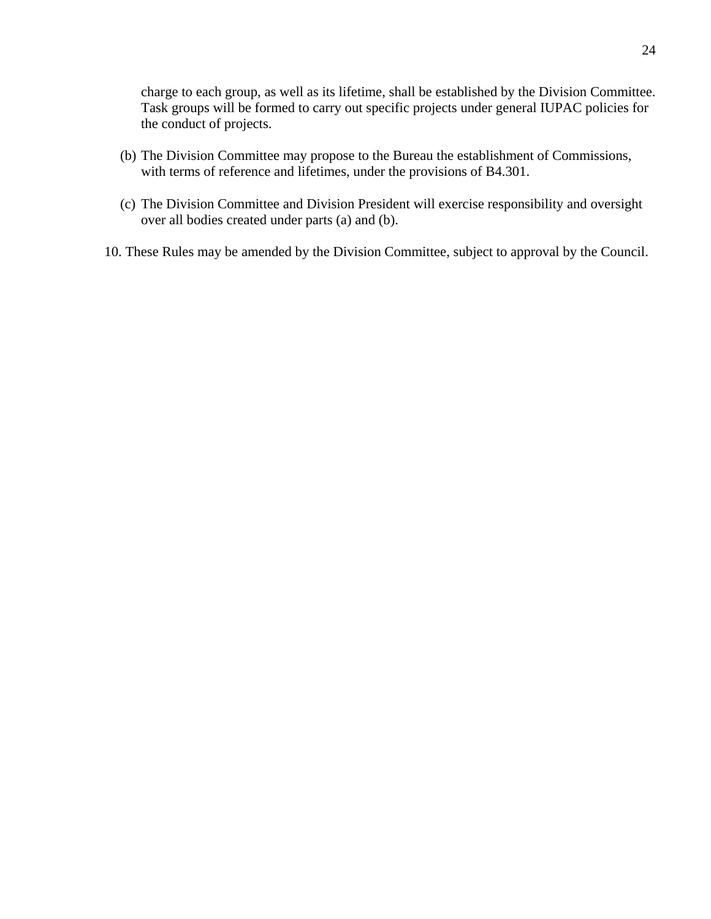charge to each group, as well as its lifetime, shall be established by the Division Committee. Task groups will be formed to carry out specific projects under general IUPAC policies for the conduct of projects.

- (b) The Division Committee may propose to the Bureau the establishment of Commissions, with terms of reference and lifetimes, under the provisions of B4.301.
- (c) The Division Committee and Division President will exercise responsibility and oversight over all bodies created under parts (a) and (b).
- 10. These Rules may be amended by the Division Committee, subject to approval by the Council.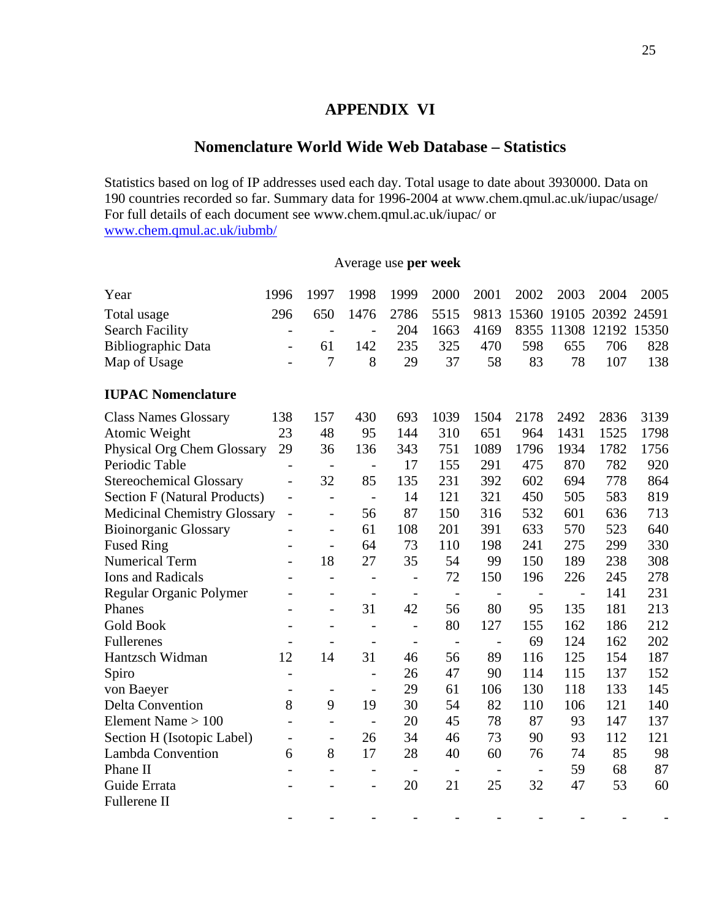# **APPENDIX VI**

# **Nomenclature World Wide Web Database – Statistics**

Statistics based on log of IP addresses used each day. Total usage to date about 3930000. Data on 190 countries recorded so far. Summary data for 1996-2004 at www.chem.qmul.ac.uk/iupac/usage/ For full details of each document see www.chem.qmul.ac.uk/iupac/ or www.chem.qmul.ac.uk/iubmb/

Average use **per week** 

| Year                                | 1996                     | 1997                     | 1998                     | 1999                     | 2000                     | 2001                     | 2002                     | 2003                     | 2004                    | 2005 |
|-------------------------------------|--------------------------|--------------------------|--------------------------|--------------------------|--------------------------|--------------------------|--------------------------|--------------------------|-------------------------|------|
| Total usage                         | 296                      | 650                      | 1476                     | 2786                     | 5515                     | 9813                     |                          |                          | 15360 19105 20392 24591 |      |
| <b>Search Facility</b>              | $\qquad \qquad -$        | $\overline{\phantom{0}}$ | $\overline{\phantom{a}}$ | 204                      | 1663                     | 4169                     | 8355                     |                          | 11308 12192 15350       |      |
| <b>Bibliographic Data</b>           | $\overline{\phantom{0}}$ | 61                       | 142                      | 235                      | 325                      | 470                      | 598                      | 655                      | 706                     | 828  |
| Map of Usage                        |                          | 7                        | 8                        | 29                       | 37                       | 58                       | 83                       | 78                       | 107                     | 138  |
|                                     |                          |                          |                          |                          |                          |                          |                          |                          |                         |      |
| <b>IUPAC Nomenclature</b>           |                          |                          |                          |                          |                          |                          |                          |                          |                         |      |
| <b>Class Names Glossary</b>         | 138                      | 157                      | 430                      | 693                      | 1039                     | 1504                     | 2178                     | 2492                     | 2836                    | 3139 |
| Atomic Weight                       | 23                       | 48                       | 95                       | 144                      | 310                      | 651                      | 964                      | 1431                     | 1525                    | 1798 |
| <b>Physical Org Chem Glossary</b>   | 29                       | 36                       | 136                      | 343                      | 751                      | 1089                     | 1796                     | 1934                     | 1782                    | 1756 |
| Periodic Table                      | $\overline{\phantom{a}}$ | $\overline{\phantom{a}}$ | $\overline{\phantom{a}}$ | 17                       | 155                      | 291                      | 475                      | 870                      | 782                     | 920  |
| <b>Stereochemical Glossary</b>      | $\overline{\phantom{0}}$ | 32                       | 85                       | 135                      | 231                      | 392                      | 602                      | 694                      | 778                     | 864  |
| <b>Section F (Natural Products)</b> | $\overline{\phantom{a}}$ | -                        | $\overline{\phantom{a}}$ | 14                       | 121                      | 321                      | 450                      | 505                      | 583                     | 819  |
| <b>Medicinal Chemistry Glossary</b> | $\overline{\phantom{a}}$ | $\overline{\phantom{a}}$ | 56                       | 87                       | 150                      | 316                      | 532                      | 601                      | 636                     | 713  |
| <b>Bioinorganic Glossary</b>        |                          | $\overline{\phantom{0}}$ | 61                       | 108                      | 201                      | 391                      | 633                      | 570                      | 523                     | 640  |
| <b>Fused Ring</b>                   |                          | $\overline{a}$           | 64                       | 73                       | 110                      | 198                      | 241                      | 275                      | 299                     | 330  |
| <b>Numerical Term</b>               | $\overline{\phantom{0}}$ | 18                       | 27                       | 35                       | 54                       | 99                       | 150                      | 189                      | 238                     | 308  |
| <b>Ions and Radicals</b>            |                          | $\overline{a}$           | $\overline{\phantom{a}}$ | $\overline{a}$           | 72                       | 150                      | 196                      | 226                      | 245                     | 278  |
| Regular Organic Polymer             |                          | $\overline{a}$           | $\overline{\phantom{a}}$ | $\overline{\phantom{a}}$ | $\overline{\phantom{a}}$ | $\overline{\phantom{a}}$ | $\overline{\phantom{a}}$ | $\overline{\phantom{a}}$ | 141                     | 231  |
| Phanes                              |                          | $\overline{a}$           | 31                       | 42                       | 56                       | 80                       | 95                       | 135                      | 181                     | 213  |
| <b>Gold Book</b>                    |                          | $\overline{a}$           | $\overline{\phantom{a}}$ | $\overline{a}$           | 80                       | 127                      | 155                      | 162                      | 186                     | 212  |
| Fullerenes                          | $\overline{\phantom{0}}$ | $\overline{\phantom{0}}$ | $\overline{a}$           | $\overline{\phantom{a}}$ | $\overline{\phantom{a}}$ | $\overline{\phantom{a}}$ | 69                       | 124                      | 162                     | 202  |
| Hantzsch Widman                     | 12                       | 14                       | 31                       | 46                       | 56                       | 89                       | 116                      | 125                      | 154                     | 187  |
| Spiro                               | $\overline{\phantom{0}}$ |                          |                          | 26                       | 47                       | 90                       | 114                      | 115                      | 137                     | 152  |
| von Baeyer                          | $\overline{\phantom{a}}$ | $\overline{\phantom{a}}$ | $\overline{\phantom{a}}$ | 29                       | 61                       | 106                      | 130                      | 118                      | 133                     | 145  |
| <b>Delta Convention</b>             | 8                        | 9                        | 19                       | 30                       | 54                       | 82                       | 110                      | 106                      | 121                     | 140  |
| Element Name $> 100$                |                          | $\overline{\phantom{0}}$ | $\overline{\phantom{a}}$ | 20                       | 45                       | 78                       | 87                       | 93                       | 147                     | 137  |
| Section H (Isotopic Label)          | $\overline{\phantom{a}}$ | $\qquad \qquad -$        | 26                       | 34                       | 46                       | 73                       | 90                       | 93                       | 112                     | 121  |
| Lambda Convention                   | 6                        | 8                        | 17                       | 28                       | 40                       | 60                       | 76                       | 74                       | 85                      | 98   |
| Phane II                            |                          | $\overline{\phantom{a}}$ | $\overline{\phantom{a}}$ | $\overline{\phantom{a}}$ | $\overline{\phantom{a}}$ | $\overline{\phantom{a}}$ | $\overline{\phantom{a}}$ | 59                       | 68                      | 87   |
| Guide Errata                        |                          | $\overline{a}$           | $\overline{a}$           | 20                       | 21                       | 25                       | 32                       | 47                       | 53                      | 60   |
| Fullerene II                        |                          |                          |                          |                          |                          |                          |                          |                          |                         |      |
|                                     |                          |                          |                          |                          |                          |                          |                          |                          |                         |      |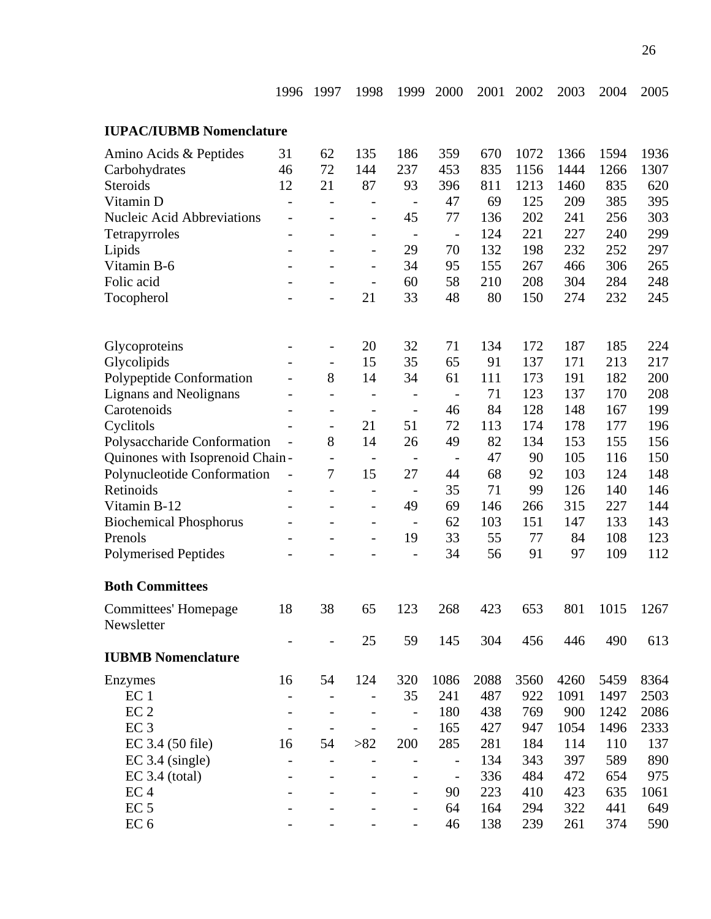|                                           | 1996                     | 1997                         | 1998                         | 1999                     | 2000                     | 2001 | 2002 | 2003 | 2004 | 2005 |
|-------------------------------------------|--------------------------|------------------------------|------------------------------|--------------------------|--------------------------|------|------|------|------|------|
| <b>IUPAC/IUBMB Nomenclature</b>           |                          |                              |                              |                          |                          |      |      |      |      |      |
| Amino Acids & Peptides                    | 31                       | 62                           | 135                          | 186                      | 359                      | 670  | 1072 | 1366 | 1594 | 1936 |
| Carbohydrates                             | 46                       | 72                           | 144                          | 237                      | 453                      | 835  | 1156 | 1444 | 1266 | 1307 |
| Steroids                                  | 12                       | 21                           | 87                           | 93                       | 396                      | 811  | 1213 | 1460 | 835  | 620  |
| Vitamin D                                 | $\overline{\phantom{0}}$ |                              |                              | $\qquad \qquad -$        | 47                       | 69   | 125  | 209  | 385  | 395  |
| Nucleic Acid Abbreviations                | $\overline{a}$           |                              | $\overline{a}$               | 45                       | 77                       | 136  | 202  | 241  | 256  | 303  |
| Tetrapyrroles                             | $\overline{a}$           | $\overline{a}$               | -                            | $\overline{\phantom{0}}$ | $\overline{\phantom{0}}$ | 124  | 221  | 227  | 240  | 299  |
| Lipids                                    | $\overline{a}$           | -                            | $\overline{\phantom{0}}$     | 29                       | 70                       | 132  | 198  | 232  | 252  | 297  |
| Vitamin B-6                               |                          | -                            | $\overline{\phantom{0}}$     | 34                       | 95                       | 155  | 267  | 466  | 306  | 265  |
| Folic acid                                |                          |                              | $\overline{a}$               | 60                       | 58                       | 210  | 208  | 304  | 284  | 248  |
| Tocopherol                                |                          |                              | 21                           | 33                       | 48                       | 80   | 150  | 274  | 232  | 245  |
| Glycoproteins                             |                          | -                            | 20                           | 32                       | 71                       | 134  | 172  | 187  | 185  | 224  |
| Glycolipids                               |                          | $\overline{\phantom{0}}$     | 15                           | 35                       | 65                       | 91   | 137  | 171  | 213  | 217  |
| Polypeptide Conformation                  |                          | 8                            | 14                           | 34                       | 61                       | 111  | 173  | 191  | 182  | 200  |
| <b>Lignans and Neolignans</b>             |                          | $\overline{\phantom{0}}$     | $\overline{\phantom{0}}$     | $\overline{\phantom{0}}$ | $\overline{a}$           | 71   | 123  | 137  | 170  | 208  |
| Carotenoids                               | $\overline{a}$           | $\qquad \qquad \blacksquare$ | $\qquad \qquad \blacksquare$ | $\overline{\phantom{0}}$ | 46                       | 84   | 128  | 148  | 167  | 199  |
| Cyclitols                                 | $\overline{\phantom{0}}$ | $\qquad \qquad \blacksquare$ | 21                           | 51                       | 72                       | 113  | 174  | 178  | 177  | 196  |
| Polysaccharide Conformation               | $\overline{a}$           | 8                            | 14                           | 26                       | 49                       | 82   | 134  | 153  | 155  | 156  |
| Quinones with Isoprenoid Chain -          |                          | $\overline{\phantom{0}}$     | $\overline{\phantom{0}}$     | $\overline{\phantom{0}}$ | $\overline{\phantom{a}}$ | 47   | 90   | 105  | 116  | 150  |
| Polynucleotide Conformation               | -                        | 7                            | 15                           | 27                       | 44                       | 68   | 92   | 103  | 124  | 148  |
| Retinoids                                 | $\overline{a}$           | -                            | -                            | $\overline{\phantom{0}}$ | 35                       | 71   | 99   | 126  | 140  | 146  |
| Vitamin B-12                              | $\overline{a}$           | -                            | $\qquad \qquad \blacksquare$ | 49                       | 69                       | 146  | 266  | 315  | 227  | 144  |
| <b>Biochemical Phosphorus</b>             |                          | $\qquad \qquad -$            | -                            | $\overline{a}$           | 62                       | 103  | 151  | 147  | 133  | 143  |
| Prenols                                   |                          | $\overline{a}$               | -                            | 19                       | 33                       | 55   | 77   | 84   | 108  | 123  |
| <b>Polymerised Peptides</b>               |                          |                              |                              |                          | 34                       | 56   | 91   | 97   | 109  | 112  |
| <b>Both Committees</b>                    |                          |                              |                              |                          |                          |      |      |      |      |      |
| <b>Committees' Homepage</b><br>Newsletter | 18                       | 38                           | 65                           | 123                      | 268                      | 423  | 653  | 801  | 1015 | 1267 |
|                                           |                          | $\overline{\phantom{0}}$     | 25                           | 59                       | 145                      | 304  | 456  | 446  | 490  | 613  |
| <b>IUBMB</b> Nomenclature                 |                          |                              |                              |                          |                          |      |      |      |      |      |
| Enzymes                                   | 16                       | 54                           | 124                          | 320                      | 1086                     | 2088 | 3560 | 4260 | 5459 | 8364 |
| EC <sub>1</sub>                           |                          |                              |                              | 35                       | 241                      | 487  | 922  | 1091 | 1497 | 2503 |
| EC <sub>2</sub>                           |                          | $\overline{\phantom{0}}$     |                              | $\overline{\phantom{0}}$ | 180                      | 438  | 769  | 900  | 1242 | 2086 |
| EC <sub>3</sub>                           |                          | $\overline{\phantom{0}}$     |                              | $\overline{\phantom{0}}$ | 165                      | 427  | 947  | 1054 | 1496 | 2333 |
| EC 3.4 (50 file)                          | 16                       | 54                           | >82                          | 200                      | 285                      | 281  | 184  | 114  | 110  | 137  |
| $EC$ 3.4 (single)                         |                          | $\overline{a}$               | $\overline{\phantom{0}}$     | $\overline{\phantom{0}}$ | $\overline{\phantom{0}}$ | 134  | 343  | 397  | 589  | 890  |
| $EC$ 3.4 (total)                          |                          |                              |                              | $\overline{\phantom{0}}$ | $\overline{\phantom{0}}$ | 336  | 484  | 472  | 654  | 975  |
| EC <sub>4</sub>                           |                          |                              |                              |                          | 90                       | 223  | 410  | 423  | 635  | 1061 |
| EC <sub>5</sub>                           |                          |                              |                              | $\overline{\phantom{0}}$ | 64                       | 164  | 294  | 322  | 441  | 649  |
| EC <sub>6</sub>                           |                          |                              |                              |                          | 46                       | 138  | 239  | 261  | 374  | 590  |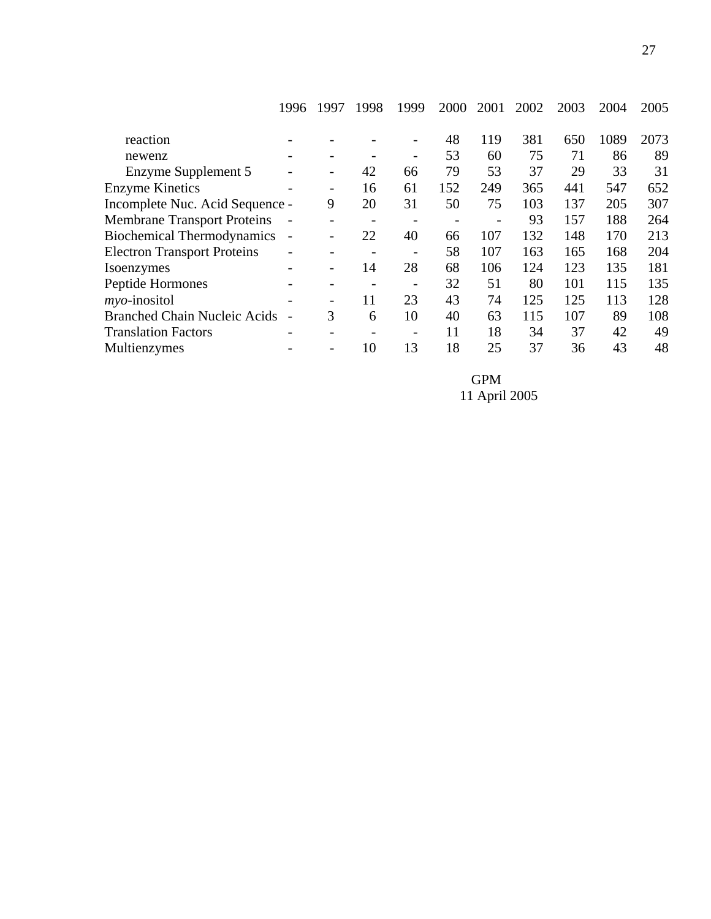|                                     | 1996                     | 1997 | 1998 | 1999                     | 2000                     | 2001 | 2002 | 2003 | 2004 | 2005 |
|-------------------------------------|--------------------------|------|------|--------------------------|--------------------------|------|------|------|------|------|
| reaction                            |                          |      |      |                          | 48                       | 119  | 381  | 650  | 1089 | 2073 |
| newenz                              |                          |      |      | -                        | 53                       | 60   | 75   | 71   | 86   | 89   |
| Enzyme Supplement 5                 |                          |      | 42   | 66                       | 79                       | 53   | 37   | 29   | 33   | 31   |
| <b>Enzyme Kinetics</b>              |                          |      | 16   | 61                       | 152                      | 249  | 365  | 441  | 547  | 652  |
| Incomplete Nuc. Acid Sequence -     |                          | 9    | 20   | 31                       | 50                       | 75   | 103  | 137  | 205  | 307  |
| <b>Membrane Transport Proteins</b>  |                          |      |      |                          | $\overline{\phantom{a}}$ | -    | 93   | 157  | 188  | 264  |
| <b>Biochemical Thermodynamics</b>   | $\overline{\phantom{a}}$ |      | 22   | 40                       | 66                       | 107  | 132  | 148  | 170  | 213  |
| <b>Electron Transport Proteins</b>  | -                        |      |      | $\overline{\phantom{0}}$ | 58                       | 107  | 163  | 165  | 168  | 204  |
| Isoenzymes                          |                          |      | 14   | 28                       | 68                       | 106  | 124  | 123  | 135  | 181  |
| Peptide Hormones                    |                          |      |      |                          | 32                       | 51   | 80   | 101  | 115  | 135  |
| $m$ <i>yo</i> -inositol             |                          |      | 11   | 23                       | 43                       | 74   | 125  | 125  | 113  | 128  |
| <b>Branched Chain Nucleic Acids</b> |                          | 3    | 6    | 10                       | 40                       | 63   | 115  | 107  | 89   | 108  |
| <b>Translation Factors</b>          |                          |      |      |                          | 11                       | 18   | 34   | 37   | 42   | 49   |
| Multienzymes                        |                          |      | 10   | 13                       | 18                       | 25   | 37   | 36   | 43   | 48   |

 GPM 11 April 2005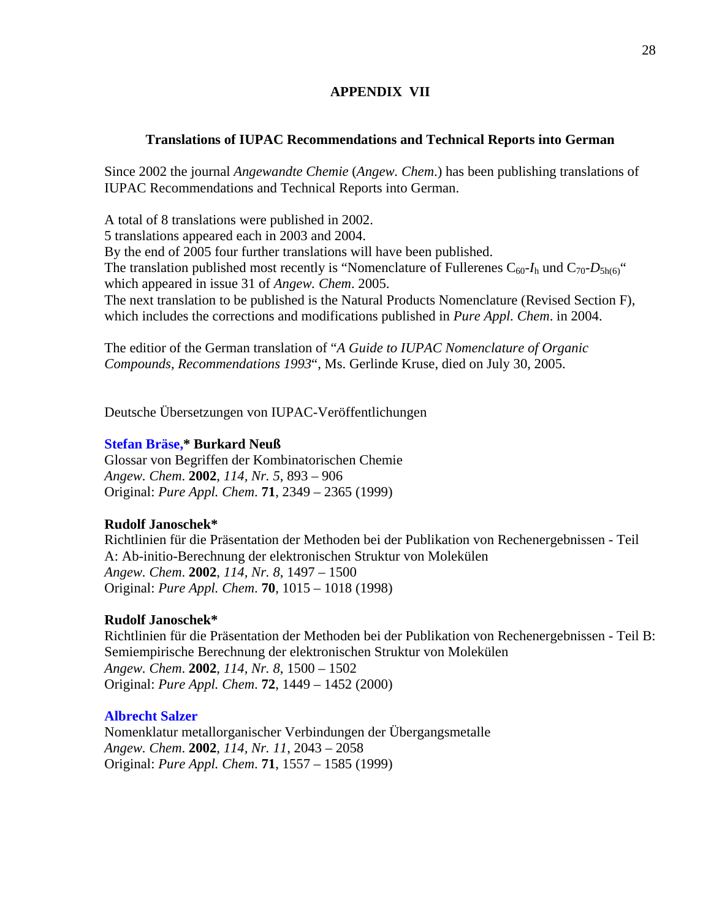# **APPENDIX VII**

## **Translations of IUPAC Recommendations and Technical Reports into German**

Since 2002 the journal *Angewandte Chemie* (*Angew. Chem*.) has been publishing translations of IUPAC Recommendations and Technical Reports into German.

A total of 8 translations were published in 2002. 5 translations appeared each in 2003 and 2004. By the end of 2005 four further translations will have been published. The translation published most recently is "Nomenclature of Fullerenes  $C_{60}I_h$  und  $C_{70}D_{5h(6)}$ " which appeared in issue 31 of *Angew. Chem*. 2005. The next translation to be published is the Natural Products Nomenclature (Revised Section F), which includes the corrections and modifications published in *Pure Appl. Chem*. in 2004.

The editior of the German translation of "*A Guide to IUPAC Nomenclature of Organic Compounds, Recommendations 1993*", Ms. Gerlinde Kruse, died on July 30, 2005.

Deutsche Übersetzungen von IUPAC-Veröffentlichungen

# **Stefan Bräse,\* Burkard Neuß**

Glossar von Begriffen der Kombinatorischen Chemie *Angew. Chem*. **2002**, *114, Nr. 5*, 893 – 906 Original: *Pure Appl. Chem*. **71**, 2349 – 2365 (1999)

# **Rudolf Janoschek\***

Richtlinien für die Präsentation der Methoden bei der Publikation von Rechenergebnissen - Teil A: Ab-initio-Berechnung der elektronischen Struktur von Molekülen *Angew. Chem*. **2002**, *114, Nr. 8*, 1497 – 1500 Original: *Pure Appl. Chem*. **70**, 1015 – 1018 (1998)

# **Rudolf Janoschek\***

Richtlinien für die Präsentation der Methoden bei der Publikation von Rechenergebnissen - Teil B: Semiempirische Berechnung der elektronischen Struktur von Molekülen *Angew. Chem*. **2002**, *114, Nr. 8*, 1500 – 1502 Original: *Pure Appl. Chem*. **72**, 1449 – 1452 (2000)

## **Albrecht Salzer**

Nomenklatur metallorganischer Verbindungen der Übergangsmetalle *Angew. Chem*. **2002**, *114, Nr. 11*, 2043 – 2058 Original: *Pure Appl. Chem*. **71**, 1557 – 1585 (1999)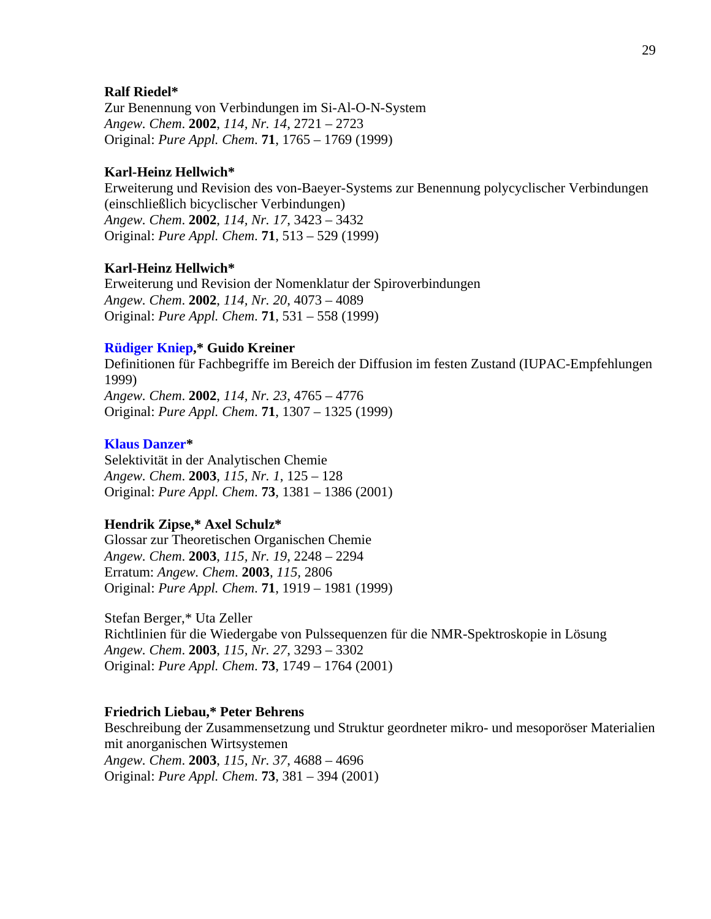### **Ralf Riedel\***

Zur Benennung von Verbindungen im Si-Al-O-N-System *Angew. Chem*. **2002**, *114, Nr. 14*, 2721 – 2723 Original: *Pure Appl. Chem*. **71**, 1765 – 1769 (1999)

### **Karl-Heinz Hellwich\***

Erweiterung und Revision des von-Baeyer-Systems zur Benennung polycyclischer Verbindungen (einschließlich bicyclischer Verbindungen) *Angew. Chem*. **2002**, *114, Nr. 17*, 3423 – 3432 Original: *Pure Appl. Chem*. **71**, 513 – 529 (1999)

### **Karl-Heinz Hellwich\***

Erweiterung und Revision der Nomenklatur der Spiroverbindungen *Angew. Chem*. **2002**, *114, Nr. 20*, 4073 – 4089 Original: *Pure Appl. Chem*. **71**, 531 – 558 (1999)

## **Rüdiger Kniep,\* Guido Kreiner**

Definitionen für Fachbegriffe im Bereich der Diffusion im festen Zustand (IUPAC-Empfehlungen 1999) *Angew. Chem*. **2002**, *114, Nr. 23*, 4765 – 4776 Original: *Pure Appl. Chem*. **71**, 1307 – 1325 (1999)

#### **Klaus Danzer\***

Selektivität in der Analytischen Chemie *Angew. Chem*. **2003**, *115, Nr. 1*, 125 – 128 Original: *Pure Appl. Chem*. **73**, 1381 – 1386 (2001)

### **Hendrik Zipse,\* Axel Schulz\***

Glossar zur Theoretischen Organischen Chemie *Angew. Chem*. **2003**, *115, Nr. 19*, 2248 – 2294 Erratum: *Angew. Chem*. **2003**, *115,* 2806 Original: *Pure Appl. Chem*. **71**, 1919 – 1981 (1999)

Stefan Berger,\* Uta Zeller Richtlinien für die Wiedergabe von Pulssequenzen für die NMR-Spektroskopie in Lösung *Angew. Chem*. **2003**, *115, Nr. 27*, 3293 – 3302 Original: *Pure Appl. Chem*. **73**, 1749 – 1764 (2001)

### **Friedrich Liebau,\* Peter Behrens**

Beschreibung der Zusammensetzung und Struktur geordneter mikro- und mesoporöser Materialien mit anorganischen Wirtsystemen *Angew. Chem*. **2003**, *115, Nr. 37*, 4688 – 4696 Original: *Pure Appl. Chem*. **73**, 381 – 394 (2001)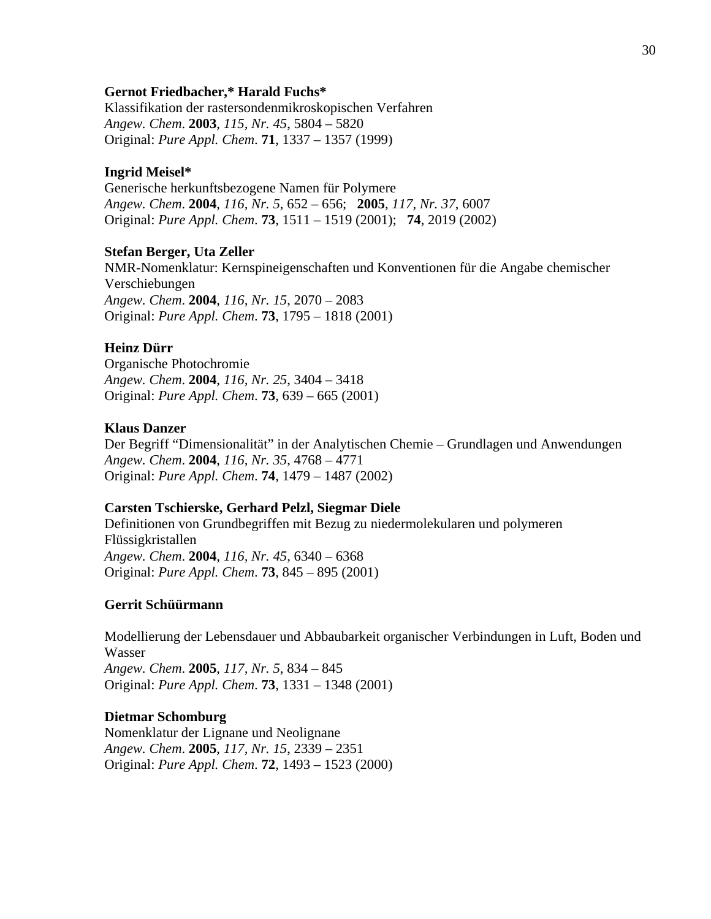### **Gernot Friedbacher,\* Harald Fuchs\***

Klassifikation der rastersondenmikroskopischen Verfahren *Angew. Chem*. **2003**, *115, Nr. 45*, 5804 – 5820 Original: *Pure Appl. Chem*. **71**, 1337 – 1357 (1999)

### **Ingrid Meisel\***

Generische herkunftsbezogene Namen für Polymere *Angew. Chem*. **2004**, *116, Nr. 5*, 652 – 656; **2005**, *117, Nr. 37*, 6007 Original: *Pure Appl. Chem*. **73**, 1511 – 1519 (2001); **74**, 2019 (2002)

### **Stefan Berger, Uta Zeller**

NMR-Nomenklatur: Kernspineigenschaften und Konventionen für die Angabe chemischer Verschiebungen *Angew. Chem*. **2004**, *116, Nr. 15*, 2070 – 2083 Original: *Pure Appl. Chem*. **73**, 1795 – 1818 (2001)

### **Heinz Dürr**

Organische Photochromie *Angew. Chem*. **2004**, *116, Nr. 25*, 3404 – 3418 Original: *Pure Appl. Chem*. **73**, 639 – 665 (2001)

## **Klaus Danzer**

Der Begriff "Dimensionalität" in der Analytischen Chemie – Grundlagen und Anwendungen *Angew. Chem*. **2004**, *116, Nr. 35*, 4768 – 4771 Original: *Pure Appl. Chem*. **74**, 1479 – 1487 (2002)

#### **Carsten Tschierske, Gerhard Pelzl, Siegmar Diele**

Definitionen von Grundbegriffen mit Bezug zu niedermolekularen und polymeren Flüssigkristallen *Angew. Chem*. **2004**, *116, Nr. 45*, 6340 – 6368 Original: *Pure Appl. Chem*. **73**, 845 – 895 (2001)

#### **Gerrit Schüürmann**

Modellierung der Lebensdauer und Abbaubarkeit organischer Verbindungen in Luft, Boden und Wasser *Angew. Chem*. **2005**, *117, Nr. 5*, 834 – 845 Original: *Pure Appl. Chem*. **73**, 1331 – 1348 (2001)

### **Dietmar Schomburg**

Nomenklatur der Lignane und Neolignane *Angew. Chem*. **2005**, *117, Nr. 15*, 2339 – 2351 Original: *Pure Appl. Chem*. **72**, 1493 – 1523 (2000)